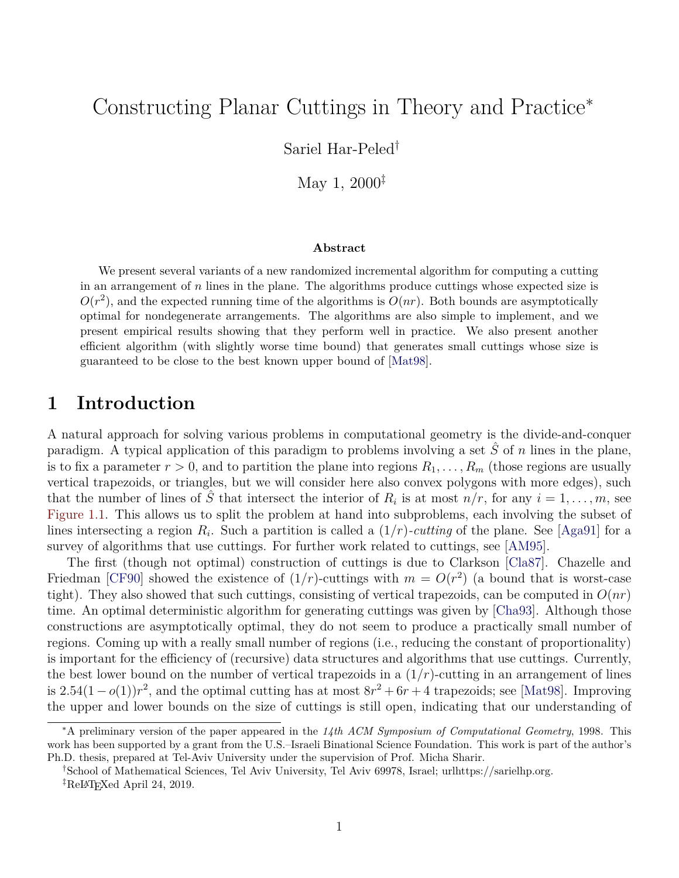# Constructing Planar Cuttings in Theory and Practice<sup>∗</sup>

Sariel Har-Peled†

May 1, 2000‡

#### **Abstract**

We present several variants of a new randomized incremental algorithm for computing a cutting in an arrangement of  $n$  lines in the plane. The algorithms produce cuttings whose expected size is  $O(r^2)$ , and the expected running time of the algorithms is  $O(nr)$ . Both bounds are asymptotically optimal for nondegenerate arrangements. The algorithms are also simple to implement, and we present empirical results showing that they perform well in practice. We also present another efficient algorithm (with slightly worse time bound) that generates small cuttings whose size is guaranteed to be close to the best known upper bound of [\[Mat98\]](#page-21-0).

## **1 Introduction**

A natural approach for solving various problems in computational geometry is the divide-and-conquer paradigm. A typical application of this paradigm to problems involving a set  $\hat{S}$  of n lines in the plane, is to fix a parameter  $r > 0$ , and to partition the plane into regions  $R_1, \ldots, R_m$  (those regions are usually vertical trapezoids, or triangles, but we will consider here also convex polygons with more edges), such that the number of lines of  $\hat{S}$  that intersect the interior of  $R_i$  is at most  $n/r$ , for any  $i = 1, \ldots, m$ , see [Figure 1.1.](#page-1-0) This allows us to split the problem at hand into subproblems, each involving the subset of lines intersecting a region  $R_i$ . Such a partition is called a  $(1/r)$ -cutting of the plane. See [\[Aga91\]](#page-20-0) for a survey of algorithms that use cuttings. For further work related to cuttings, see [\[AM95\]](#page-20-1).

The first (though not optimal) construction of cuttings is due to Clarkson [\[Cla87\]](#page-20-2). Chazelle and Friedman [\[CF90\]](#page-20-3) showed the existence of  $(1/r)$ -cuttings with  $m = O(r^2)$  (a bound that is worst-case tight). They also showed that such cuttings, consisting of vertical trapezoids, can be computed in  $O(nr)$ time. An optimal deterministic algorithm for generating cuttings was given by [\[Cha93\]](#page-20-4). Although those constructions are asymptotically optimal, they do not seem to produce a practically small number of regions. Coming up with a really small number of regions (i.e., reducing the constant of proportionality) is important for the efficiency of (recursive) data structures and algorithms that use cuttings. Currently, the best lower bound on the number of vertical trapezoids in a  $(1/r)$ -cutting in an arrangement of lines is  $2.54(1-o(1))r^2$ , and the optimal cutting has at most  $8r^2 + 6r + 4$  trapezoids; see [\[Mat98\]](#page-21-0). Improving the upper and lower bounds on the size of cuttings is still open, indicating that our understanding of

<sup>∗</sup>A preliminary version of the paper appeared in the *14th ACM Symposium of Computational Geometry*, 1998. This work has been supported by a grant from the U.S.–Israeli Binational Science Foundation. This work is part of the author's Ph.D. thesis, prepared at Tel-Aviv University under the supervision of Prof. Micha Sharir.

<sup>†</sup>School of Mathematical Sciences, Tel Aviv University, Tel Aviv 69978, Israel; urlhttps://sarielhp.org.

 ${}^{\ddagger}$ ReLAT<sub>F</sub>Xed April 24, 2019.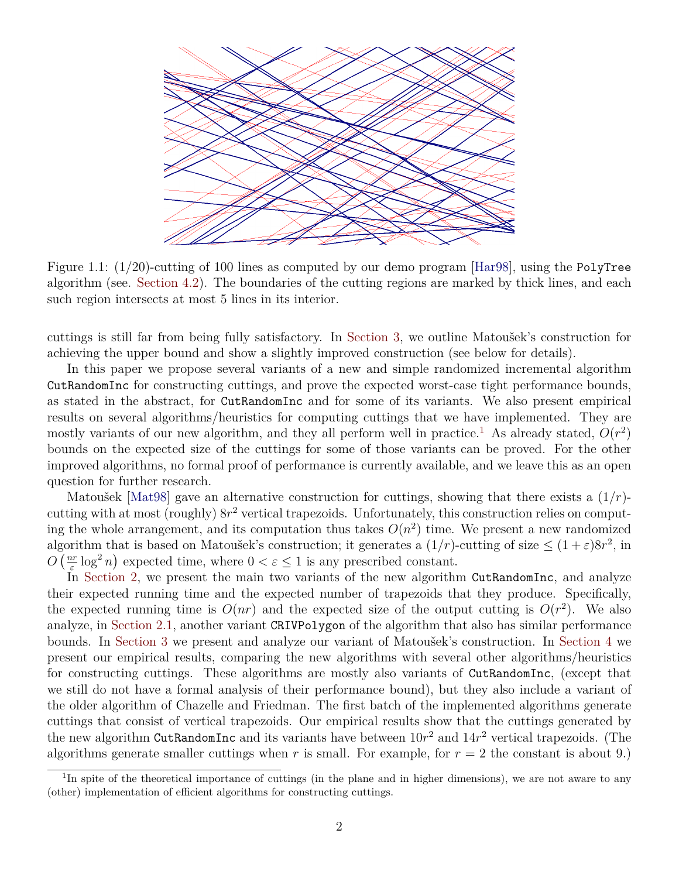

<span id="page-1-0"></span>Figure 1.1: (1/20)-cutting of 100 lines as computed by our demo program [\[Har98\]](#page-21-1), using the PolyTree algorithm (see. [Section 4.2\)](#page-15-0). The boundaries of the cutting regions are marked by thick lines, and each such region intersects at most 5 lines in its interior.

cuttings is still far from being fully satisfactory. In [Section 3,](#page-12-0) we outline Matoušek's construction for achieving the upper bound and show a slightly improved construction (see below for details).

In this paper we propose several variants of a new and simple randomized incremental algorithm CutRandomInc for constructing cuttings, and prove the expected worst-case tight performance bounds, as stated in the abstract, for CutRandomInc and for some of its variants. We also present empirical results on several algorithms/heuristics for computing cuttings that we have implemented. They are mostly variants of our new algorithm, and they all perform well in practice.<sup>[1](#page-1-1)</sup> As already stated,  $O(r^2)$ bounds on the expected size of the cuttings for some of those variants can be proved. For the other improved algorithms, no formal proof of performance is currently available, and we leave this as an open question for further research.

Matoušek [\[Mat98\]](#page-21-0) gave an alternative construction for cuttings, showing that there exists a  $(1/r)$ cutting with at most (roughly)  $8r^2$  vertical trapezoids. Unfortunately, this construction relies on computing the whole arrangement, and its computation thus takes  $O(n^2)$  time. We present a new randomized algorithm that is based on Matoušek's construction; it generates a  $(1/r)$ -cutting of size  $\leq (1+\varepsilon)8r^2$ , in  $O\left(\frac{nr}{e}\right)$  $\frac{e}{\varepsilon} \log^2 n$  expected time, where  $0 < \varepsilon \le 1$  is any prescribed constant.

In [Section 2,](#page-2-0) we present the main two variants of the new algorithm CutRandomInc, and analyze their expected running time and the expected number of trapezoids that they produce. Specifically, the expected running time is  $O(nr)$  and the expected size of the output cutting is  $O(r^2)$ . We also analyze, in [Section 2.1,](#page-10-0) another variant CRIVPolygon of the algorithm that also has similar performance bounds. In [Section 3](#page-12-0) we present and analyze our variant of Matoušek's construction. In [Section 4](#page-14-0) we present our empirical results, comparing the new algorithms with several other algorithms/heuristics for constructing cuttings. These algorithms are mostly also variants of CutRandomInc, (except that we still do not have a formal analysis of their performance bound), but they also include a variant of the older algorithm of Chazelle and Friedman. The first batch of the implemented algorithms generate cuttings that consist of vertical trapezoids. Our empirical results show that the cuttings generated by the new algorithm CutRandomInc and its variants have between  $10r^2$  and  $14r^2$  vertical trapezoids. (The algorithms generate smaller cuttings when r is small. For example, for  $r = 2$  the constant is about 9.)

<span id="page-1-1"></span><sup>&</sup>lt;sup>1</sup>In spite of the theoretical importance of cuttings (in the plane and in higher dimensions), we are not aware to any (other) implementation of efficient algorithms for constructing cuttings.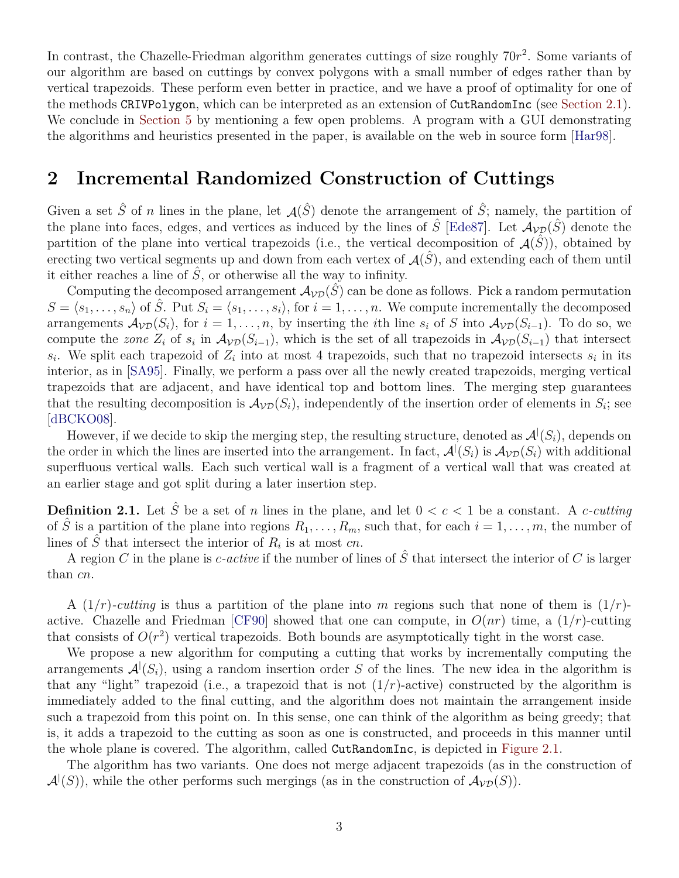In contrast, the Chazelle-Friedman algorithm generates cuttings of size roughly  $70r^2$ . Some variants of our algorithm are based on cuttings by convex polygons with a small number of edges rather than by vertical trapezoids. These perform even better in practice, and we have a proof of optimality for one of the methods CRIVPolygon, which can be interpreted as an extension of CutRandomInc (see [Section 2.1\)](#page-10-0). We conclude in [Section 5](#page-19-0) by mentioning a few open problems. A program with a GUI demonstrating the algorithms and heuristics presented in the paper, is available on the web in source form [\[Har98\]](#page-21-1).

# <span id="page-2-0"></span>**2 Incremental Randomized Construction of Cuttings**

Given a set  $\hat{S}$  of n lines in the plane, let  $\mathcal{A}(\hat{S})$  denote the arrangement of  $\hat{S}$ ; namely, the partition of the plane into faces, edges, and vertices as induced by the lines of  $\hat{S}$  [\[Ede87\]](#page-21-2). Let  $\mathcal{A}_{\mathcal{VD}}(\hat{S})$  denote the partition of the plane into vertical trapezoids (i.e., the vertical decomposition of  $\mathcal{A}(S)$ ), obtained by erecting two vertical segments up and down from each vertex of  $\mathcal{A}(\tilde{S})$ , and extending each of them until it either reaches a line of  $\hat{S}$ , or otherwise all the way to infinity.

Computing the decomposed arrangement  $\mathcal{A}_{VD}(\hat{S})$  can be done as follows. Pick a random permutation  $S = \langle s_1, \ldots, s_n \rangle$  of  $\hat{S}$ . Put  $S_i = \langle s_1, \ldots, s_i \rangle$ , for  $i = 1, \ldots, n$ . We compute incrementally the decomposed arrangements  $\mathcal{A}_{\mathcal{V}\mathcal{D}}(S_i)$ , for  $i = 1, \ldots, n$ , by inserting the *i*th line  $s_i$  of S into  $\mathcal{A}_{\mathcal{V}\mathcal{D}}(S_{i-1})$ . To do so, we compute the *zone*  $Z_i$  of  $s_i$  in  $\mathcal{A}_{\mathcal{VD}}(S_{i-1})$ , which is the set of all trapezoids in  $\mathcal{A}_{\mathcal{VD}}(S_{i-1})$  that intersect  $s_i$ . We split each trapezoid of  $Z_i$  into at most 4 trapezoids, such that no trapezoid intersects  $s_i$  in its interior, as in [\[SA95\]](#page-21-3). Finally, we perform a pass over all the newly created trapezoids, merging vertical trapezoids that are adjacent, and have identical top and bottom lines. The merging step guarantees that the resulting decomposition is  $\mathcal{A}_{VD}(S_i)$ , independently of the insertion order of elements in  $S_i$ ; see [\[dBCKO08\]](#page-20-5).

However, if we decide to skip the merging step, the resulting structure, denoted as  $\mathcal{A}^{\vert}(S_i)$ , depends on the order in which the lines are inserted into the arrangement. In fact,  $\mathcal{A}^{\vert}(S_i)$  is  $\mathcal{A}_{\mathcal{VD}}(S_i)$  with additional superfluous vertical walls. Each such vertical wall is a fragment of a vertical wall that was created at an earlier stage and got split during a later insertion step.

**Definition 2.1.** Let  $\hat{S}$  be a set of n lines in the plane, and let  $0 < c < 1$  be a constant. A c-cutting of  $\hat{S}$  is a partition of the plane into regions  $R_1, \ldots, R_m$ , such that, for each  $i = 1, \ldots, m$ , the number of lines of  $\hat{S}$  that intersect the interior of  $R_i$  is at most cn.

A region C in the plane is *c*-active if the number of lines of  $\hat{S}$  that intersect the interior of C is larger than cn.

A  $(1/r)$ -cutting is thus a partition of the plane into m regions such that none of them is  $(1/r)$ -active. Chazelle and Friedman [\[CF90\]](#page-20-3) showed that one can compute, in  $O(nr)$  time, a  $(1/r)$ -cutting that consists of  $O(r^2)$  vertical trapezoids. Both bounds are asymptotically tight in the worst case.

We propose a new algorithm for computing a cutting that works by incrementally computing the arrangements  $\mathcal{A}^{\dagger}(S_i)$ , using a random insertion order S of the lines. The new idea in the algorithm is that any "light" trapezoid (i.e., a trapezoid that is not  $(1/r)$ -active) constructed by the algorithm is immediately added to the final cutting, and the algorithm does not maintain the arrangement inside such a trapezoid from this point on. In this sense, one can think of the algorithm as being greedy; that is, it adds a trapezoid to the cutting as soon as one is constructed, and proceeds in this manner until the whole plane is covered. The algorithm, called CutRandomInc, is depicted in [Figure 2.1.](#page-3-0)

The algorithm has two variants. One does not merge adjacent trapezoids (as in the construction of  $\mathcal{A}^{\vert}(S)$ , while the other performs such mergings (as in the construction of  $\mathcal{A}_{\mathcal{VD}}(S)$ ).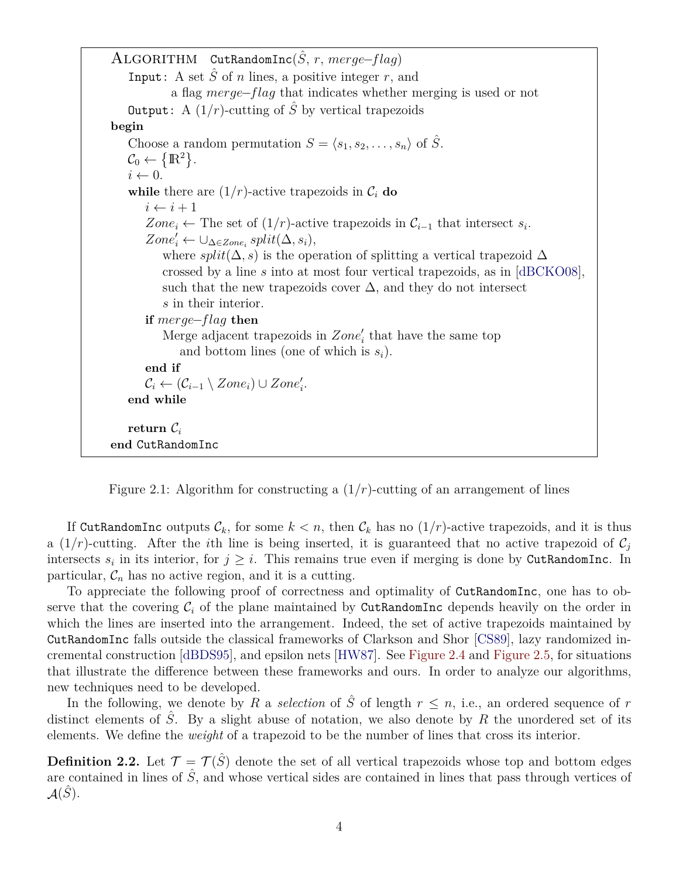ALGORITHM CutRandomInc $(\hat{S}, r, merge-flaq)$ Input: A set  $\hat{S}$  of n lines, a positive integer r, and a flag merge−flag that indicates whether merging is used or not **Output:** A  $(1/r)$ -cutting of  $\hat{S}$  by vertical trapezoids **begin** Choose a random permutation  $S = \langle s_1, s_2, \ldots, s_n \rangle$  of  $\hat{S}$ .  $\mathcal{C}_0 \leftarrow \left\{ \mathbb{R}^2 \right\}$ .  $i \leftarrow 0$ . **while** there are  $(1/r)$ -active trapezoids in  $\mathcal{C}_i$  **do**  $i \leftarrow i + 1$ Zone<sub>i</sub> ← The set of  $(1/r)$ -active trapezoids in  $\mathcal{C}_{i-1}$  that intersect  $s_i$ .  $Zone'_{i} \leftarrow \cup_{\Delta \in Zone_{i}} split(\Delta, s_{i}),$ where split( $\Delta$ , s) is the operation of splitting a vertical trapezoid  $\Delta$ crossed by a line s into at most four vertical trapezoids, as in [\[dBCKO08\]](#page-20-5), such that the new trapezoids cover  $\Delta$ , and they do not intersect s in their interior. **if** merge−flag **then** Merge adjacent trapezoids in  $Zone'_{i}$  that have the same top and bottom lines (one of which is  $s_i$ ). **end if**  $\mathcal{C}_i \leftarrow (\mathcal{C}_{i-1} \setminus \mathit{Zone}_i) \cup \mathit{Zone}'_i.$ **end while return**  $\mathcal{C}_i$ **end** CutRandomInc

<span id="page-3-0"></span>Figure 2.1: Algorithm for constructing a  $(1/r)$ -cutting of an arrangement of lines

If CutRandomInc outputs  $\mathcal{C}_k$ , for some  $k < n$ , then  $\mathcal{C}_k$  has no  $(1/r)$ -active trapezoids, and it is thus a  $(1/r)$ -cutting. After the *i*th line is being inserted, it is guaranteed that no active trapezoid of  $C_i$ intersects  $s_i$  in its interior, for  $j \geq i$ . This remains true even if merging is done by CutRandomInc. In particular,  $\mathcal{C}_n$  has no active region, and it is a cutting.

To appreciate the following proof of correctness and optimality of CutRandomInc, one has to observe that the covering  $C_i$  of the plane maintained by CutRandomInc depends heavily on the order in which the lines are inserted into the arrangement. Indeed, the set of active trapezoids maintained by CutRandomInc falls outside the classical frameworks of Clarkson and Shor [\[CS89\]](#page-20-6), lazy randomized incremental construction [\[dBDS95\]](#page-20-7), and epsilon nets [\[HW87\]](#page-21-4). See [Figure 2.4](#page-9-0) and [Figure 2.5,](#page-9-1) for situations that illustrate the difference between these frameworks and ours. In order to analyze our algorithms, new techniques need to be developed.

In the following, we denote by R a *selection* of  $\hat{S}$  of length  $r \leq n$ , i.e., an ordered sequence of r distinct elements of  $\hat{S}$ . By a slight abuse of notation, we also denote by R the unordered set of its elements. We define the *weight* of a trapezoid to be the number of lines that cross its interior.

**Definition 2.2.** Let  $\mathcal{T} = \mathcal{T}(\hat{S})$  denote the set of all vertical trapezoids whose top and bottom edges are contained in lines of  $\hat{S}$ , and whose vertical sides are contained in lines that pass through vertices of  $\mathcal{A}(\hat{S})$ .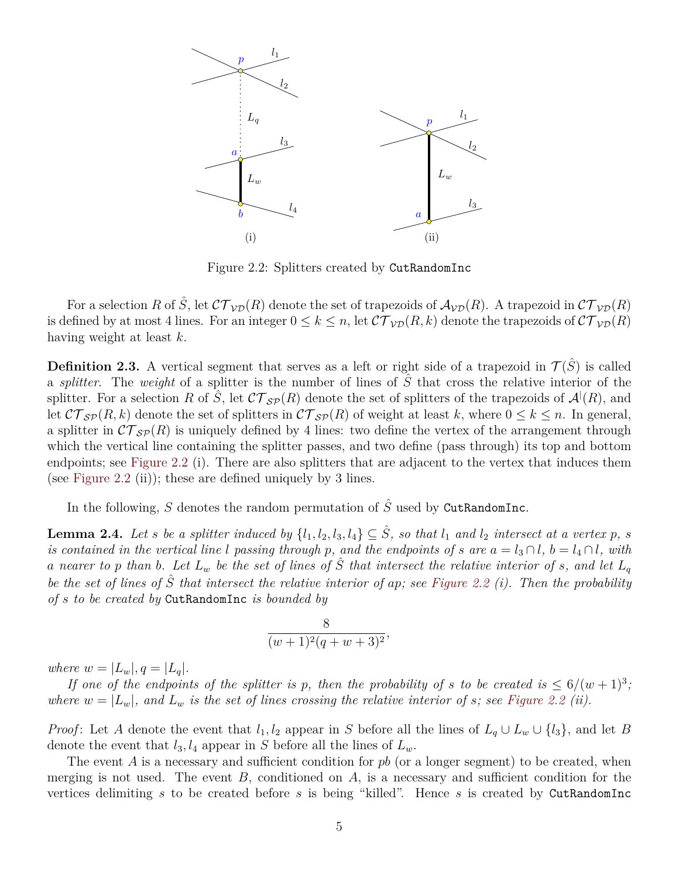

<span id="page-4-0"></span>Figure 2.2: Splitters created by CutRandomInc

For a selection R of  $\hat{S}$ , let  $\mathcal{CT}_{\mathcal{VD}}(R)$  denote the set of trapezoids of  $\mathcal{A}_{\mathcal{VD}}(R)$ . A trapezoid in  $\mathcal{CT}_{\mathcal{VD}}(R)$ is defined by at most 4 lines. For an integer  $0 \le k \le n$ , let  $\mathcal{CT}_{\mathcal{VD}}(R, k)$  denote the trapezoids of  $\mathcal{CT}_{\mathcal{VD}}(R)$ having weight at least k.

**Definition 2.3.** A vertical segment that serves as a left or right side of a trapezoid in  $\mathcal{T}(\hat{S})$  is called a *splitter*. The *weight* of a splitter is the number of lines of Sˆ that cross the relative interior of the splitter. For a selection R of  $\hat{S}$ , let  $\mathcal{CT}_{\mathcal{SP}}(R)$  denote the set of splitters of the trapezoids of  $\mathcal{A}^l(R)$ , and let  $\mathcal{CT}_{\mathcal{SP}}(R, k)$  denote the set of splitters in  $\mathcal{CT}_{\mathcal{SP}}(R)$  of weight at least k, where  $0 \leq k \leq n$ . In general, a splitter in  $\mathcal{CT}_{\mathcal{SP}}(R)$  is uniquely defined by 4 lines: two define the vertex of the arrangement through which the vertical line containing the splitter passes, and two define (pass through) its top and bottom endpoints; see [Figure 2.2](#page-4-0) (i). There are also splitters that are adjacent to the vertex that induces them (see [Figure 2.2](#page-4-0) (ii)); these are defined uniquely by 3 lines.

In the following, S denotes the random permutation of  $\hat{S}$  used by CutRandomInc.

**Lemma 2.4.** Let *s* be a splitter induced by  $\{l_1, l_2, l_3, l_4\} \subseteq \hat{S}$ , so that  $l_1$  and  $l_2$  intersect at a vertex p, s *is contained in the vertical line* l *passing through* p, and the endpoints of s are  $a = l_3 \cap l$ ,  $b = l_4 \cap l$ , with a nearer to p than b. Let  $L_w$  be the set of lines of  $\hat{S}$  that intersect the relative interior of s, and let  $L_q$ *be the set of lines of* Sˆ *that intersect the relative interior of* ap*; see [Figure 2.2](#page-4-0) (i). Then the probability of* s *to be created by* CutRandomInc *is bounded by*

$$
\frac{8}{(w+1)^2(q+w+3)^2},
$$

*where*  $w = |L_w|, q = |L_q|$ .

*If one of the endpoints of the splitter is p, then the probability of* s to be created is  $\leq 6/(w+1)^3$ ; where  $w = |L_w|$ , and  $L_w$  is the set of lines crossing the relative interior of s; see [Figure 2.2](#page-4-0) (ii).

*Proof*: Let A denote the event that  $l_1, l_2$  appear in S before all the lines of  $L_q \cup L_w \cup \{l_3\}$ , and let B denote the event that  $l_3, l_4$  appear in S before all the lines of  $L_w$ .

The event  $A$  is a necessary and sufficient condition for  $pb$  (or a longer segment) to be created, when merging is not used. The event  $B$ , conditioned on  $A$ , is a necessary and sufficient condition for the vertices delimiting s to be created before s is being "killed". Hence s is created by CutRandomInc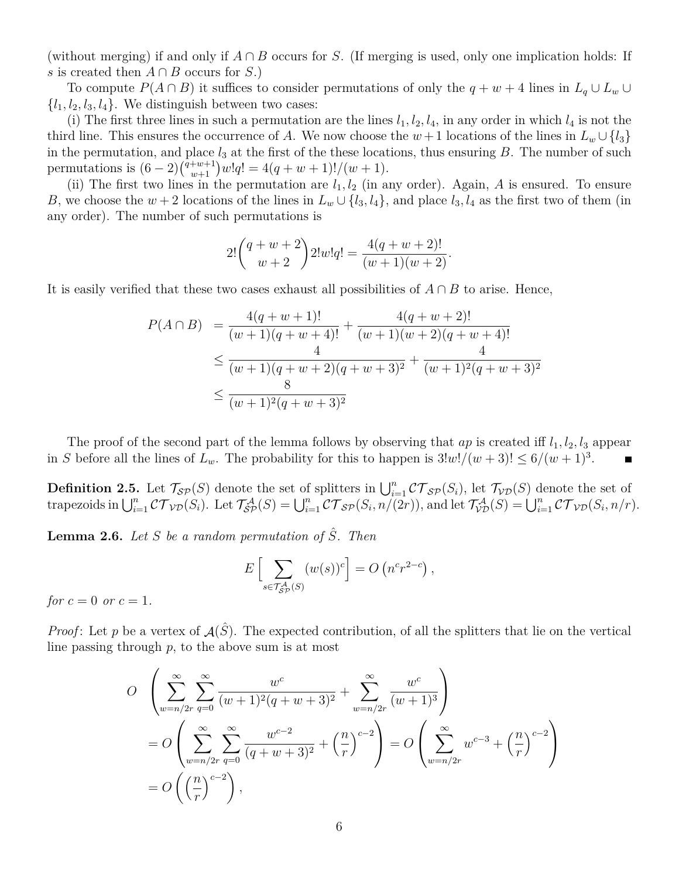(without merging) if and only if  $A \cap B$  occurs for S. (If merging is used, only one implication holds: If s is created then  $A \cap B$  occurs for S.)

To compute  $P(A \cap B)$  it suffices to consider permutations of only the  $q + w + 4$  lines in  $L_q \cup L_w \cup$  $\{l_1, l_2, l_3, l_4\}$ . We distinguish between two cases:

(i) The first three lines in such a permutation are the lines  $l_1, l_2, l_4$ , in any order in which  $l_4$  is not the third line. This ensures the occurrence of A. We now choose the  $w+1$  locations of the lines in  $L_w \cup \{l_3\}$ in the permutation, and place  $l_3$  at the first of the these locations, thus ensuring B. The number of such permutations is  $(6-2)\binom{q+w+1}{w+1}w!q! = 4(q+w+1)!/(w+1).$ 

(ii) The first two lines in the permutation are  $l_1, l_2$  (in any order). Again, A is ensured. To ensure B, we choose the  $w + 2$  locations of the lines in  $L_w \cup \{l_3, l_4\}$ , and place  $l_3, l_4$  as the first two of them (in any order). The number of such permutations is

$$
2!\binom{q+w+2}{w+2}2!w!q! = \frac{4(q+w+2)!}{(w+1)(w+2)}.
$$

It is easily verified that these two cases exhaust all possibilities of  $A \cap B$  to arise. Hence,

$$
P(A \cap B) = \frac{4(q+w+1)!}{(w+1)(q+w+4)!} + \frac{4(q+w+2)!}{(w+1)(w+2)(q+w+4)!}
$$
  
\n
$$
\leq \frac{4}{(w+1)(q+w+2)(q+w+3)^2} + \frac{4}{(w+1)^2(q+w+3)^2}
$$
  
\n
$$
\leq \frac{8}{(w+1)^2(q+w+3)^2}
$$

The proof of the second part of the lemma follows by observing that  $ap$  is created iff  $l_1, l_2, l_3$  appear in S before all the lines of  $L_w$ . The probability for this to happen is  $3!w!/(w+3)! \leq 6/(w+1)^3$ .

**Definition 2.5.** Let  $\mathcal{T}_{\mathcal{SP}}(S)$  denote the set of splitters in  $\bigcup_{i=1}^n \mathcal{CT}_{\mathcal{SP}}(S_i)$ , let  $\mathcal{T}_{\mathcal{VD}}(S)$  denote the set of trapezoids in  $\bigcup_{i=1}^n \mathcal{CT}_{\mathcal{VD}}(S_i)$ . Let  $\mathcal{T}_{\mathcal{SP}}^{\mathcal{A}}(S) = \bigcup_{i=1}^n \mathcal{CT}_{\mathcal{SP}}(S_i, n/(2r))$ , and let  $\mathcal{T}_{\mathcal{VD}}^{\mathcal{A}}(S) = \bigcup_{i=1}^n \mathcal{CT}_{\mathcal{VD}}(S_i, n/r)$ .

<span id="page-5-0"></span>**Lemma 2.6.** *Let*  $S$  *be a random permutation of*  $\hat{S}$ *. Then* 

$$
E\left[\sum_{s\in\mathcal{T}_{SP}^{\mathcal{A}}(S)} (w(s))^c\right] = O\left(n^c r^{2-c}\right),
$$

*for*  $c = 0$  *or*  $c = 1$ *.* 

*Proof*: Let p be a vertex of  $A(\hat{S})$ . The expected contribution, of all the splitters that lie on the vertical line passing through  $p$ , to the above sum is at most

$$
O \left( \sum_{w=n/2r}^{\infty} \sum_{q=0}^{\infty} \frac{w^c}{(w+1)^2 (q+w+3)^2} + \sum_{w=n/2r}^{\infty} \frac{w^c}{(w+1)^3} \right)
$$
  
= 
$$
O \left( \sum_{w=n/2r}^{\infty} \sum_{q=0}^{\infty} \frac{w^{c-2}}{(q+w+3)^2} + \left(\frac{n}{r}\right)^{c-2} \right) = O \left( \sum_{w=n/2r}^{\infty} w^{c-3} + \left(\frac{n}{r}\right)^{c-2} \right)
$$
  
= 
$$
O \left( \left(\frac{n}{r}\right)^{c-2} \right),
$$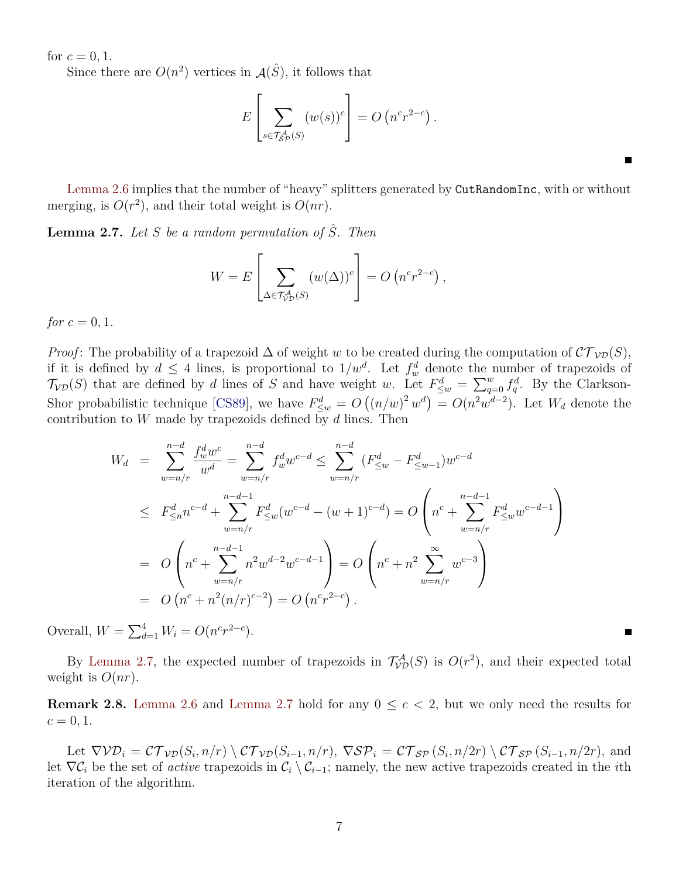for  $c = 0, 1$ .

Since there are  $O(n^2)$  vertices in  $\mathcal{A}(\hat{S})$ , it follows that

$$
E\left[\sum_{s \in \mathcal{T}_{SP}^{\mathcal{A}}(S)} (w(s))^c\right] = O\left(n^c r^{2-c}\right).
$$

[Lemma 2.6](#page-5-0) implies that the number of "heavy" splitters generated by CutRandomInc, with or without merging, is  $O(r^2)$ , and their total weight is  $O(nr)$ .

<span id="page-6-0"></span>**Lemma 2.7.** *Let* S *be a random permutation of* Sˆ*. Then*

$$
W = E\left[\sum_{\Delta \in \mathcal{T}_{VD}^{\mathcal{A}}(S)} (w(\Delta))^c\right] = O\left(n^c r^{2-c}\right),
$$

*for*  $c = 0, 1$ *.* 

*Proof*: The probability of a trapezoid  $\Delta$  of weight w to be created during the computation of  $\mathcal{CT}_{\mathcal{VD}}(S)$ , if it is defined by  $d \leq 4$  lines, is proportional to  $1/w^d$ . Let  $f_w^d$  denote the number of trapezoids of  $\mathcal{T}_{VD}(S)$  that are defined by d lines of S and have weight w. Let  $F_{\leq w}^d = \sum_{q=0}^w f_q^d$ . By the Clarkson-Shor probabilistic technique [\[CS89\]](#page-20-6), we have  $F_{\leq w}^d = O((n/w)^2 w^d) = O(n^2 w^{d-2})$ . Let  $W_d$  denote the contribution to W made by trapezoids defined by  $d$  lines. Then

$$
W_d = \sum_{w=n/r}^{n-d} \frac{f_w^d w^c}{w^d} = \sum_{w=n/r}^{n-d} f_w^d w^{c-d} \le \sum_{w=n/r}^{n-d} (F_{\leq w}^d - F_{\leq w-1}^d) w^{c-d}
$$
  
\n
$$
\le F_{\leq n}^d n^{c-d} + \sum_{w=n/r}^{n-d-1} F_{\leq w}^d (w^{c-d} - (w+1)^{c-d}) = O\left(n^c + \sum_{w=n/r}^{n-d-1} F_{\leq w}^d w^{c-d-1}\right)
$$
  
\n
$$
= O\left(n^c + \sum_{w=n/r}^{n-d-1} n^2 w^{d-2} w^{c-d-1}\right) = O\left(n^c + n^2 \sum_{w=n/r}^{\infty} w^{c-3}\right)
$$
  
\n
$$
= O\left(n^c + n^2 (n/r)^{c-2}\right) = O\left(n^c r^{2-c}\right).
$$

Overall,  $W = \sum_{d=1}^{4} W_i = O(n^c r^{2-c}).$ 

By [Lemma 2.7,](#page-6-0) the expected number of trapezoids in  $\mathcal{T}_{VD}^{\mathcal{A}}(S)$  is  $O(r^2)$ , and their expected total weight is  $O(nr)$ .

**Remark 2.8.** [Lemma 2.6](#page-5-0) and [Lemma 2.7](#page-6-0) hold for any  $0 \leq c < 2$ , but we only need the results for  $c = 0, 1.$ 

<span id="page-6-1"></span>Let  $\nabla \mathcal{V} \mathcal{D}_i = \mathcal{C} \mathcal{T}_{\mathcal{V} \mathcal{D}}(S_i, n/r) \setminus \mathcal{C} \mathcal{T}_{\mathcal{V} \mathcal{D}}(S_{i-1}, n/r), \ \nabla \mathcal{S} \mathcal{P}_i = \mathcal{C} \mathcal{T}_{\mathcal{S} \mathcal{P}}(S_i, n/2r) \setminus \mathcal{C} \mathcal{T}_{\mathcal{S} \mathcal{P}}(S_{i-1}, n/2r), \text{ and}$ let  $\nabla \mathcal{C}_i$  be the set of *active* trapezoids in  $\mathcal{C}_i \setminus \mathcal{C}_{i-1}$ ; namely, the new active trapezoids created in the *i*th iteration of the algorithm.

 $\blacksquare$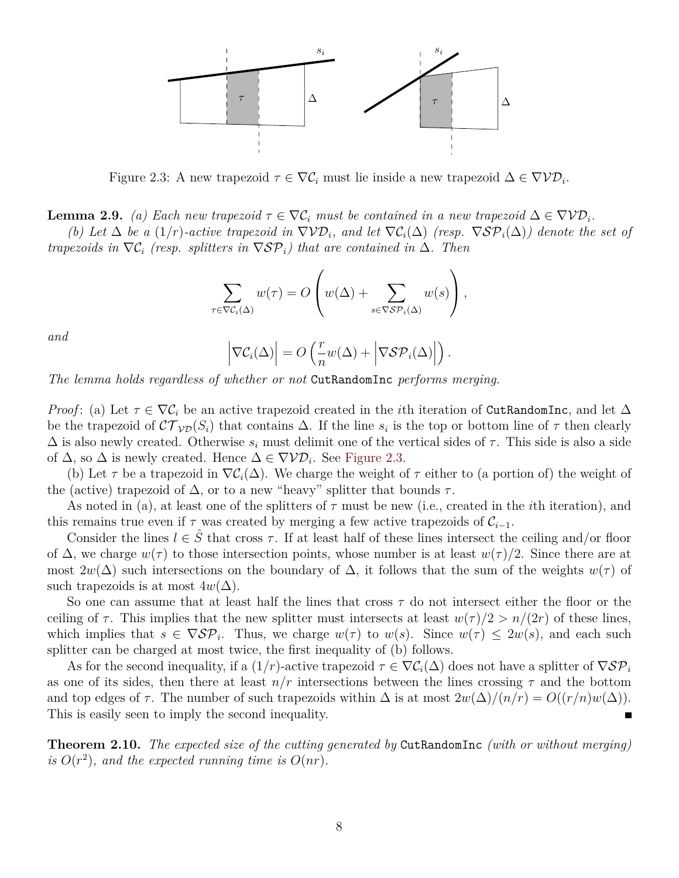

<span id="page-7-0"></span>Figure 2.3: A new trapezoid  $\tau \in \nabla \mathcal{C}_i$  must lie inside a new trapezoid  $\Delta \in \nabla \mathcal{V} \mathcal{D}_i$ .

**Lemma 2.9.** *(a) Each new trapezoid*  $\tau \in \nabla \mathcal{C}_i$  *must be contained in a new trapezoid*  $\Delta \in \nabla \mathcal{V} \mathcal{D}_i$ .

*(b)* Let  $\Delta$  *be a* (1/r)*-active trapezoid in*  $\nabla \mathcal{V}D_i$ *, and let*  $\nabla \mathcal{C}_i(\Delta)$  *(resp.*  $\nabla \mathcal{S}P_i(\Delta)$ *)* denote the set of *trapezoids in*  $\nabla \mathcal{C}_i$  *(resp. splitters in*  $\nabla \mathcal{S} \mathcal{P}_i$ *) that are contained in*  $\Delta$ *. Then* 

$$
\sum_{\tau \in \nabla C_i(\Delta)} w(\tau) = O\left(w(\Delta) + \sum_{s \in \nabla S\mathcal{P}_i(\Delta)} w(s)\right),
$$

*and*

$$
\left|\nabla \mathcal{C}_i(\Delta)\right| = O\left(\frac{r}{n}w(\Delta) + \left|\nabla \mathcal{S} \mathcal{P}_i(\Delta)\right|\right).
$$

*The lemma holds regardless of whether or not* CutRandomInc *performs merging.*

*Proof*: (a) Let  $\tau \in \nabla C_i$  be an active trapezoid created in the *i*th iteration of CutRandomInc, and let  $\Delta$ be the trapezoid of  $\mathcal{CT}_{\mathcal{VD}}(S_i)$  that contains  $\Delta$ . If the line  $s_i$  is the top or bottom line of  $\tau$  then clearly  $\Delta$  is also newly created. Otherwise  $s_i$  must delimit one of the vertical sides of  $\tau$ . This side is also a side of  $\Delta$ , so  $\Delta$  is newly created. Hence  $\Delta \in \nabla \mathcal{V} \mathcal{D}_i$ . See [Figure 2.3.](#page-7-0)

(b) Let  $\tau$  be a trapezoid in  $\nabla \mathcal{C}_i(\Delta)$ . We charge the weight of  $\tau$  either to (a portion of) the weight of the (active) trapezoid of  $\Delta$ , or to a new "heavy" splitter that bounds  $\tau$ .

As noted in (a), at least one of the splitters of  $\tau$  must be new (i.e., created in the *i*th iteration), and this remains true even if  $\tau$  was created by merging a few active trapezoids of  $\mathcal{C}_{i-1}$ .

Consider the lines  $l \in \hat{S}$  that cross  $\tau$ . If at least half of these lines intersect the ceiling and/or floor of  $\Delta$ , we charge  $w(\tau)$  to those intersection points, whose number is at least  $w(\tau)/2$ . Since there are at most  $2w(\Delta)$  such intersections on the boundary of  $\Delta$ , it follows that the sum of the weights  $w(\tau)$  of such trapezoids is at most  $4w(\Delta)$ .

So one can assume that at least half the lines that cross  $\tau$  do not intersect either the floor or the ceiling of  $\tau$ . This implies that the new splitter must intersects at least  $w(\tau)/2 > n/(2r)$  of these lines, which implies that  $s \in \nabla \mathcal{S} \mathcal{P}_i$ . Thus, we charge  $w(\tau)$  to  $w(s)$ . Since  $w(\tau) \leq 2w(s)$ , and each such splitter can be charged at most twice, the first inequality of (b) follows.

As for the second inequality, if a  $(1/r)$ -active trapezoid  $\tau \in \nabla C_i(\Delta)$  does not have a splitter of  $\nabla S\mathcal{P}_i$ as one of its sides, then there at least  $n/r$  intersections between the lines crossing  $\tau$  and the bottom and top edges of  $\tau$ . The number of such trapezoids within  $\Delta$  is at most  $2w(\Delta)/(n/r) = O((r/n)w(\Delta)).$ This is easily seen to imply the second inequality.

<span id="page-7-1"></span>**Theorem 2.10.** *The expected size of the cutting generated by* CutRandomInc *(with or without merging)* is  $O(r^2)$ , and the expected running time is  $O(nr)$ .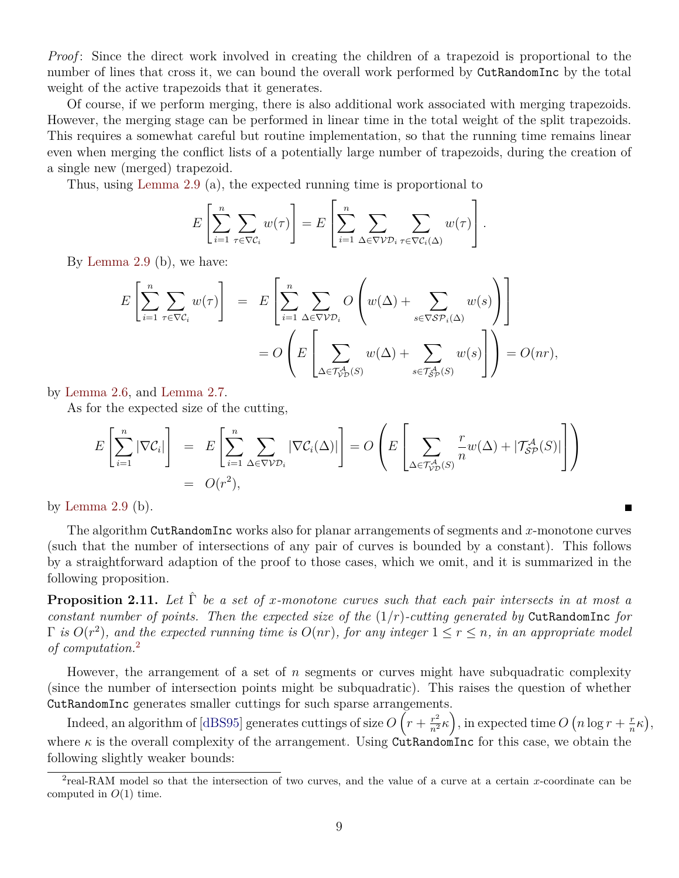*Proof*: Since the direct work involved in creating the children of a trapezoid is proportional to the number of lines that cross it, we can bound the overall work performed by CutRandomInc by the total weight of the active trapezoids that it generates.

Of course, if we perform merging, there is also additional work associated with merging trapezoids. However, the merging stage can be performed in linear time in the total weight of the split trapezoids. This requires a somewhat careful but routine implementation, so that the running time remains linear even when merging the conflict lists of a potentially large number of trapezoids, during the creation of a single new (merged) trapezoid.

Thus, using [Lemma 2.9](#page-6-1) (a), the expected running time is proportional to

$$
E\left[\sum_{i=1}^n \sum_{\tau \in \nabla \mathcal{C}_i} w(\tau)\right] = E\left[\sum_{i=1}^n \sum_{\Delta \in \nabla \mathcal{V} \mathcal{D}_i} \sum_{\tau \in \nabla \mathcal{C}_i(\Delta)} w(\tau)\right].
$$

By [Lemma 2.9](#page-6-1) (b), we have:

$$
E\left[\sum_{i=1}^{n} \sum_{\tau \in \nabla \mathcal{C}_i} w(\tau)\right] = E\left[\sum_{i=1}^{n} \sum_{\Delta \in \nabla \mathcal{V}D_i} O\left(w(\Delta) + \sum_{s \in \nabla S\mathcal{P}_i(\Delta)} w(s)\right)\right]
$$
  
= 
$$
O\left(E\left[\sum_{\Delta \in \mathcal{T}_{\mathcal{V}D}^{\mathcal{A}}(S)} w(\Delta) + \sum_{s \in \mathcal{T}_{\mathcal{S}P}^{\mathcal{A}}(S)} w(s)\right]\right) = O(nr),
$$

by [Lemma 2.6,](#page-5-0) and [Lemma 2.7.](#page-6-0)

As for the expected size of the cutting,

$$
E\left[\sum_{i=1}^{n} |\nabla \mathcal{C}_{i}| \right] = E\left[\sum_{i=1}^{n} \sum_{\Delta \in \nabla \mathcal{V} \mathcal{D}_{i}} |\nabla \mathcal{C}_{i}(\Delta)| \right] = O\left(E\left[\sum_{\Delta \in \mathcal{T}_{\mathcal{V} \mathcal{D}}(\mathcal{S})} \frac{r}{n} w(\Delta) + |\mathcal{T}_{\mathcal{S} \mathcal{P}}^{\mathcal{A}}(\mathcal{S})| \right] \right)
$$
  
=  $O(r^{2}),$ 

by Lemma  $2.9$  (b).

The algorithm CutRandomInc works also for planar arrangements of segments and  $x$ -monotone curves (such that the number of intersections of any pair of curves is bounded by a constant). This follows by a straightforward adaption of the proof to those cases, which we omit, and it is summarized in the following proposition.

 $\blacksquare$ 

**Proposition 2.11.** Let  $\hat{\Gamma}$  be a set of x-monotone curves such that each pair intersects in at most a *constant number of points. Then the expected size of the* (1/r)*-cutting generated by* CutRandomInc *for*  $\Gamma$  *is*  $O(r^2)$ *, and the expected running time is*  $O(nr)$ *, for any integer*  $1 \leq r \leq n$ *, in an appropriate model of computation.*[2](#page-8-0)

However, the arrangement of a set of n segments or curves might have subquadratic complexity (since the number of intersection points might be subquadratic). This raises the question of whether CutRandomInc generates smaller cuttings for such sparse arrangements.

Indeed, an algorithm of [\[dBS95\]](#page-21-5) generates cuttings of size  $O\left(r+\frac{r^2}{n^2}\kappa\right)$ , in expected time  $O\left(n\log r+\frac{r}{n}\right)$  $\frac{r}{n}\kappa$ , where  $\kappa$  is the overall complexity of the arrangement. Using CutRandomInc for this case, we obtain the following slightly weaker bounds:

<span id="page-8-0"></span><sup>&</sup>lt;sup>2</sup>real-RAM model so that the intersection of two curves, and the value of a curve at a certain x-coordinate can be computed in  $O(1)$  time.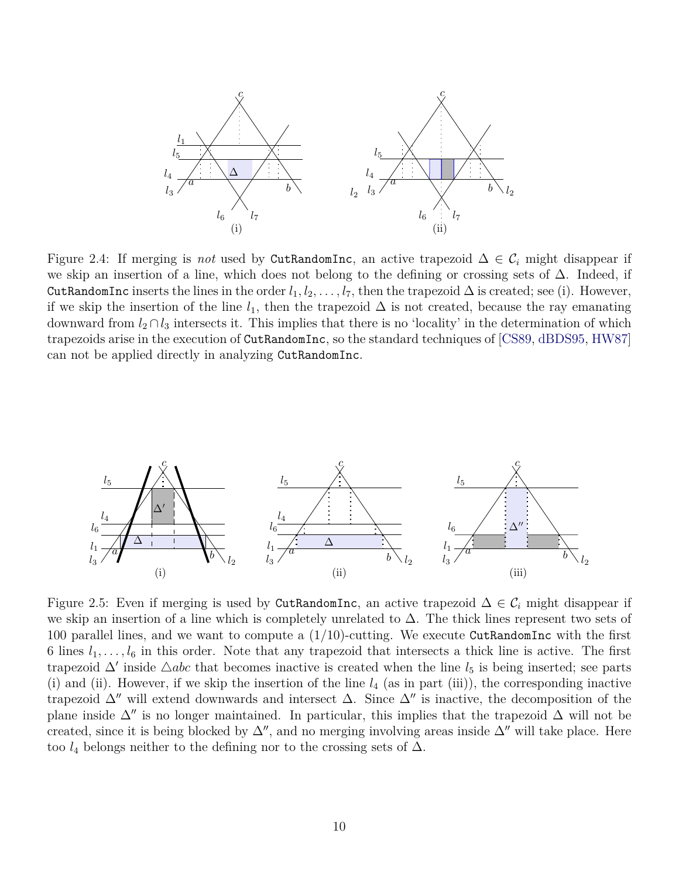

<span id="page-9-0"></span>Figure 2.4: If merging is *not* used by CutRandomInc, an active trapezoid  $\Delta \in \mathcal{C}_i$  might disappear if we skip an insertion of a line, which does not belong to the defining or crossing sets of ∆. Indeed, if CutRandomInc inserts the lines in the order  $l_1, l_2, \ldots, l_7$ , then the trapezoid  $\Delta$  is created; see (i). However, if we skip the insertion of the line  $l_1$ , then the trapezoid  $\Delta$  is not created, because the ray emanating downward from  $l_2 \cap l_3$  intersects it. This implies that there is no 'locality' in the determination of which trapezoids arise in the execution of CutRandomInc, so the standard techniques of [\[CS89,](#page-20-6) [dBDS95,](#page-20-7) [HW87\]](#page-21-4) can not be applied directly in analyzing CutRandomInc.



<span id="page-9-1"></span>Figure 2.5: Even if merging is used by CutRandomInc, an active trapezoid  $\Delta \in \mathcal{C}_i$  might disappear if we skip an insertion of a line which is completely unrelated to  $\Delta$ . The thick lines represent two sets of 100 parallel lines, and we want to compute a  $(1/10)$ -cutting. We execute CutRandomInc with the first 6 lines  $l_1, \ldots, l_6$  in this order. Note that any trapezoid that intersects a thick line is active. The first trapezoid  $\Delta'$  inside  $\Delta abc$  that becomes inactive is created when the line  $l_5$  is being inserted; see parts (i) and (ii). However, if we skip the insertion of the line  $l_4$  (as in part (iii)), the corresponding inactive trapezoid  $\Delta$ <sup>*n*</sup> will extend downwards and intersect  $\Delta$ . Since  $\Delta$ <sup>*n*</sup> is inactive, the decomposition of the plane inside  $\Delta''$  is no longer maintained. In particular, this implies that the trapezoid  $\Delta$  will not be created, since it is being blocked by  $\Delta''$ , and no merging involving areas inside  $\Delta''$  will take place. Here too  $l_4$  belongs neither to the defining nor to the crossing sets of  $\Delta$ .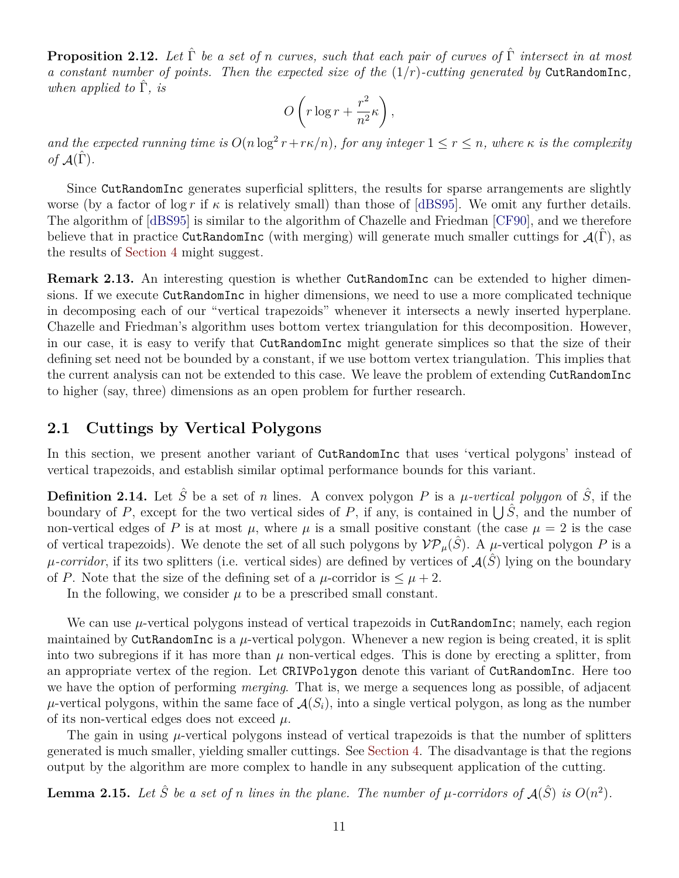**Proposition 2.12.** *Let* Γˆ *be a set of* n *curves, such that each pair of curves of* Γˆ *intersect in at most a constant number of points. Then the expected size of the* (1/r)*-cutting generated by* CutRandomInc*, when applied to* Γˆ*, is*

$$
O\left(r\log r + \frac{r^2}{n^2}\kappa\right),\,
$$

and the expected running time is  $O(n \log^2 r + r\kappa/n)$ , for any integer  $1 \leq r \leq n$ , where  $\kappa$  is the complexity *of*  $\mathcal{A}(\hat{\Gamma})$ *.* 

Since CutRandomInc generates superficial splitters, the results for sparse arrangements are slightly worse (by a factor of  $\log r$  if  $\kappa$  is relatively small) than those of [\[dBS95\]](#page-21-5). We omit any further details. The algorithm of [\[dBS95\]](#page-21-5) is similar to the algorithm of Chazelle and Friedman [\[CF90\]](#page-20-3), and we therefore believe that in practice CutRandomInc (with merging) will generate much smaller cuttings for  $\mathcal{A}(\Gamma)$ , as the results of [Section 4](#page-14-0) might suggest.

**Remark 2.13.** An interesting question is whether CutRandomInc can be extended to higher dimensions. If we execute CutRandomInc in higher dimensions, we need to use a more complicated technique in decomposing each of our "vertical trapezoids" whenever it intersects a newly inserted hyperplane. Chazelle and Friedman's algorithm uses bottom vertex triangulation for this decomposition. However, in our case, it is easy to verify that CutRandomInc might generate simplices so that the size of their defining set need not be bounded by a constant, if we use bottom vertex triangulation. This implies that the current analysis can not be extended to this case. We leave the problem of extending CutRandomInc to higher (say, three) dimensions as an open problem for further research.

#### <span id="page-10-0"></span>**2.1 Cuttings by Vertical Polygons**

In this section, we present another variant of CutRandomInc that uses 'vertical polygons' instead of vertical trapezoids, and establish similar optimal performance bounds for this variant.

**Definition 2.14.** Let  $\hat{S}$  be a set of n lines. A convex polygon P is a  $\mu$ -vertical polygon of  $\hat{S}$ , if the boundary of P, except for the two vertical sides of P, if any, is contained in  $\bigcup \hat{S}$ , and the number of non-vertical edges of P is at most  $\mu$ , where  $\mu$  is a small positive constant (the case  $\mu = 2$  is the case of vertical trapezoids). We denote the set of all such polygons by  $VP_\mu(\hat{S})$ . A  $\mu$ -vertical polygon P is a  $\mu$ -corridor, if its two splitters (i.e. vertical sides) are defined by vertices of  $\mathcal{A}(\hat{S})$  lying on the boundary of P. Note that the size of the defining set of a  $\mu$ -corridor is  $\leq \mu + 2$ .

In the following, we consider  $\mu$  to be a prescribed small constant.

We can use  $\mu$ -vertical polygons instead of vertical trapezoids in CutRandomInc; namely, each region maintained by CutRandomInc is a  $\mu$ -vertical polygon. Whenever a new region is being created, it is split into two subregions if it has more than  $\mu$  non-vertical edges. This is done by erecting a splitter, from an appropriate vertex of the region. Let CRIVPolygon denote this variant of CutRandomInc. Here too we have the option of performing *merging*. That is, we merge a sequences long as possible, of adjacent  $\mu$ -vertical polygons, within the same face of  $\mathcal{A}(S_i)$ , into a single vertical polygon, as long as the number of its non-vertical edges does not exceed  $\mu$ .

The gain in using  $\mu$ -vertical polygons instead of vertical trapezoids is that the number of splitters generated is much smaller, yielding smaller cuttings. See [Section 4.](#page-14-0) The disadvantage is that the regions output by the algorithm are more complex to handle in any subsequent application of the cutting.

<span id="page-10-1"></span>**Lemma 2.15.** Let  $\hat{S}$  be a set of n lines in the plane. The number of  $\mu$ -corridors of  $\mathcal{A}(\hat{S})$  is  $O(n^2)$ .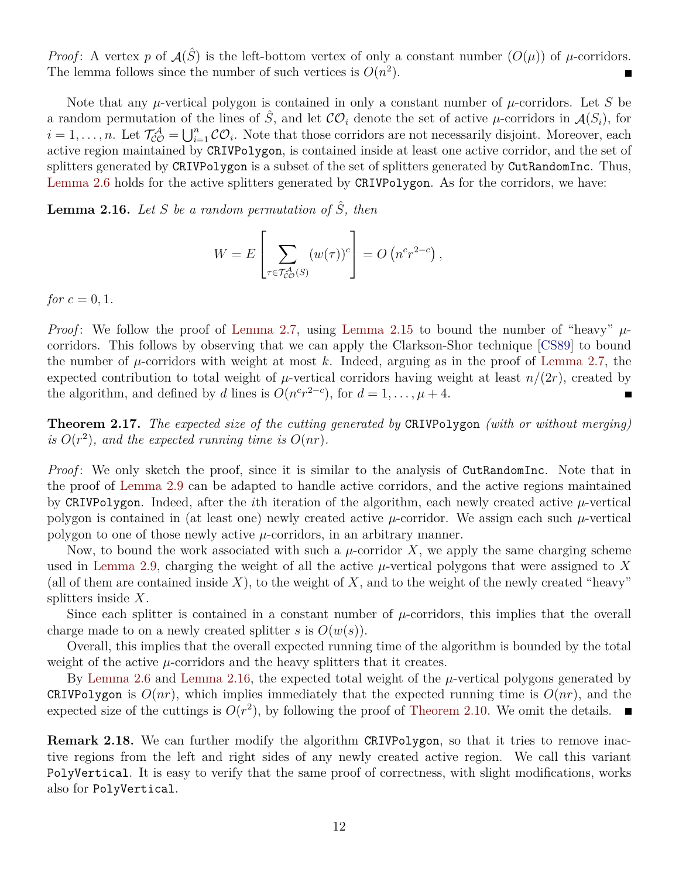*Proof*: A vertex p of  $A(\hat{S})$  is the left-bottom vertex of only a constant number  $(O(\mu))$  of  $\mu$ -corridors. The lemma follows since the number of such vertices is  $O(n^2)$ .

Note that any  $\mu$ -vertical polygon is contained in only a constant number of  $\mu$ -corridors. Let S be a random permutation of the lines of S, and let  $\mathcal{CO}_i$  denote the set of active  $\mu$ -corridors in  $\mathcal{A}(S_i)$ , for  $i=1,\ldots,n$ . Let  $\mathcal{T}_{\mathcal{CO}}^{\mathcal{A}}=\bigcup_{i=1}^{n}\mathcal{CO}_i$ . Note that those corridors are not necessarily disjoint. Moreover, each active region maintained by CRIVPolygon, is contained inside at least one active corridor, and the set of splitters generated by CRIVPolygon is a subset of the set of splitters generated by CutRandomInc. Thus, [Lemma 2.6](#page-5-0) holds for the active splitters generated by CRIVPolygon. As for the corridors, we have:

<span id="page-11-0"></span>**Lemma 2.16.** *Let* S *be a random permutation of*  $\hat{S}$ *, then* 

$$
W = E\left[\sum_{\tau \in \mathcal{T}_{\mathcal{CO}}^{\mathcal{A}}(S)} (w(\tau))^c\right] = O\left(n^c r^{2-c}\right),
$$

*for*  $c = 0, 1$ *.* 

*Proof*: We follow the proof of [Lemma 2.7,](#page-6-0) using [Lemma 2.15](#page-10-1) to bound the number of "heavy"  $\mu$ corridors. This follows by observing that we can apply the Clarkson-Shor technique [\[CS89\]](#page-20-6) to bound the number of  $\mu$ -corridors with weight at most k. Indeed, arguing as in the proof of [Lemma 2.7,](#page-6-0) the expected contribution to total weight of  $\mu$ -vertical corridors having weight at least  $n/(2r)$ , created by the algorithm, and defined by d lines is  $O(n^c r^{2-c})$ , for  $d = 1, ..., \mu + 4$ .

**Theorem 2.17.** *The expected size of the cutting generated by* CRIVPolygon *(with or without merging)* is  $O(r^2)$ , and the expected running time is  $O(nr)$ .

*Proof*: We only sketch the proof, since it is similar to the analysis of CutRandomInc. Note that in the proof of [Lemma 2.9](#page-6-1) can be adapted to handle active corridors, and the active regions maintained by CRIVPolygon. Indeed, after the *i*th iteration of the algorithm, each newly created active  $\mu$ -vertical polygon is contained in (at least one) newly created active  $\mu$ -corridor. We assign each such  $\mu$ -vertical polygon to one of those newly active  $\mu$ -corridors, in an arbitrary manner.

Now, to bound the work associated with such a  $\mu$ -corridor X, we apply the same charging scheme used in [Lemma 2.9,](#page-6-1) charging the weight of all the active  $\mu$ -vertical polygons that were assigned to X (all of them are contained inside X), to the weight of X, and to the weight of the newly created "heavy" splitters inside X.

Since each splitter is contained in a constant number of  $\mu$ -corridors, this implies that the overall charge made to on a newly created splitter s is  $O(w(s))$ .

Overall, this implies that the overall expected running time of the algorithm is bounded by the total weight of the active  $\mu$ -corridors and the heavy splitters that it creates.

By [Lemma 2.6](#page-5-0) and [Lemma 2.16,](#page-11-0) the expected total weight of the  $\mu$ -vertical polygons generated by CRIVPolygon is  $O(nr)$ , which implies immediately that the expected running time is  $O(nr)$ , and the expected size of the cuttings is  $O(r^2)$ , by following the proof of [Theorem 2.10.](#page-7-1) We omit the details.

**Remark 2.18.** We can further modify the algorithm CRIVPolygon, so that it tries to remove inactive regions from the left and right sides of any newly created active region. We call this variant PolyVertical. It is easy to verify that the same proof of correctness, with slight modifications, works also for PolyVertical.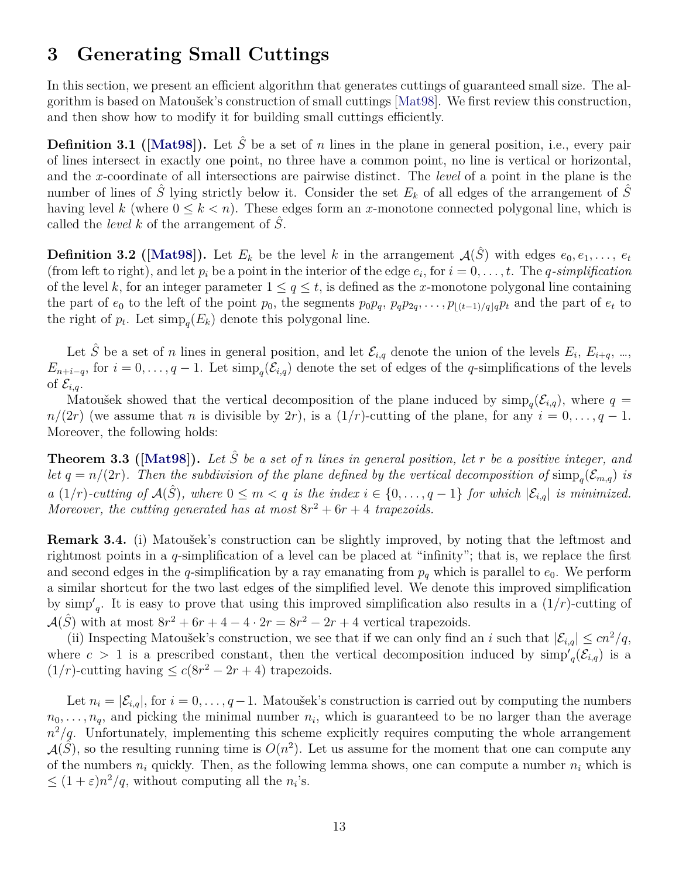# <span id="page-12-0"></span>**3 Generating Small Cuttings**

In this section, we present an efficient algorithm that generates cuttings of guaranteed small size. The algorithm is based on Matoušek's construction of small cuttings [\[Mat98\]](#page-21-0). We first review this construction, and then show how to modify it for building small cuttings efficiently.

**Definition3.1 ([\[Mat98\]](#page-21-0)).** Let  $\hat{S}$  be a set of n lines in the plane in general position, i.e., every pair of lines intersect in exactly one point, no three have a common point, no line is vertical or horizontal, and the x-coordinate of all intersections are pairwise distinct. The *level* of a point in the plane is the number of lines of  $\hat{S}$  lying strictly below it. Consider the set  $E_k$  of all edges of the arrangement of  $S$ having level k (where  $0 \leq k \leq n$ ). These edges form an x-monotone connected polygonal line, which is called the *level*  $k$  of the arrangement of  $\tilde{S}$ .

**Definition3.2 ([\[Mat98\]](#page-21-0)).** Let  $E_k$  be the level k in the arrangement  $\mathcal{A}(\hat{S})$  with edges  $e_0, e_1, \ldots, e_t$ (from left to right), and let  $p_i$  be a point in the interior of the edge  $e_i$ , for  $i = 0, \ldots, t$ . The *q-simplification* of the level k, for an integer parameter  $1 \le q \le t$ , is defined as the x-monotone polygonal line containing the part of  $e_0$  to the left of the point  $p_0$ , the segments  $p_0p_q$ ,  $p_qp_{2q}$ , ...,  $p_{\lfloor (t-1)/q\rfloor q}p_t$  and the part of  $e_t$  to the right of  $p_t$ . Let  $\text{simp}_q(E_k)$  denote this polygonal line.

Let  $\hat{S}$  be a set of n lines in general position, and let  $\mathcal{E}_{i,q}$  denote the union of the levels  $E_i, E_{i+q}, ...,$  $E_{n+i-q}$ , for  $i=0,\ldots,q-1$ . Let  $\text{simp}_q(\mathcal{E}_{i,q})$  denote the set of edges of the q-simplifications of the levels of  $\mathcal{E}_{i,q}$ .

Matoušek showed that the vertical decomposition of the plane induced by  $\text{simp}_q(\mathcal{E}_{i,q})$ , where  $q =$  $n/(2r)$  (we assume that n is divisible by 2r), is a  $(1/r)$ -cutting of the plane, for any  $i = 0, \ldots, q - 1$ . Moreover, the following holds:

**Theorem3.3** ([\[Mat98\]](#page-21-0)). Let  $\hat{S}$  be a set of n lines in general position, let r be a positive integer, and *let*  $q = n/(2r)$ . Then the subdivision of the plane defined by the vertical decomposition of  $\text{simp}_q(\mathcal{E}_{m,q})$  *is a* (1/r)-cutting of  $\mathcal{A}(\hat{S})$ , where  $0 \leq m < q$  is the index  $i \in \{0, \ldots, q-1\}$  for which  $|\mathcal{E}_{i,q}|$  is minimized. Moreover, the cutting generated has at most  $8r^2 + 6r + 4$  trapezoids.

<span id="page-12-2"></span>**Remark 3.4.** (i) Matoušek's construction can be slightly improved, by noting that the leftmost and rightmost points in a q-simplification of a level can be placed at "infinity"; that is, we replace the first and second edges in the q-simplification by a ray emanating from  $p_q$  which is parallel to  $e_0$ . We perform a similar shortcut for the two last edges of the simplified level. We denote this improved simplification by  $\text{simp}_q$ . It is easy to prove that using this improved simplification also results in a  $(1/r)$ -cutting of  $\mathcal{A}(\hat{S})$  with at most  $8r^2 + 6r + 4 - 4 \cdot 2r = 8r^2 - 2r + 4$  vertical trapezoids.

(ii) Inspecting Matoušek's construction, we see that if we can only find an i such that  $|\mathcal{E}_{i,q}| \leq cn^2/q$ , where  $c > 1$  is a prescribed constant, then the vertical decomposition induced by  $\dim p'_q(\mathcal{E}_{i,q})$  is a  $(1/r)$ -cutting having  $\leq c(8r^2-2r+4)$  trapezoids.

<span id="page-12-1"></span>Let  $n_i = |\mathcal{E}_{i,q}|$ , for  $i = 0, \ldots, q-1$ . Matoušek's construction is carried out by computing the numbers  $n_0, \ldots, n_q$ , and picking the minimal number  $n_i$ , which is guaranteed to be no larger than the average  $n^2/q$ . Unfortunately, implementing this scheme explicitly requires computing the whole arrangement  $\mathcal{A}(\tilde{S})$ , so the resulting running time is  $O(n^2)$ . Let us assume for the moment that one can compute any of the numbers  $n_i$  quickly. Then, as the following lemma shows, one can compute a number  $n_i$  which is  $\leq (1+\varepsilon)n^2/q$ , without computing all the  $n_i$ 's.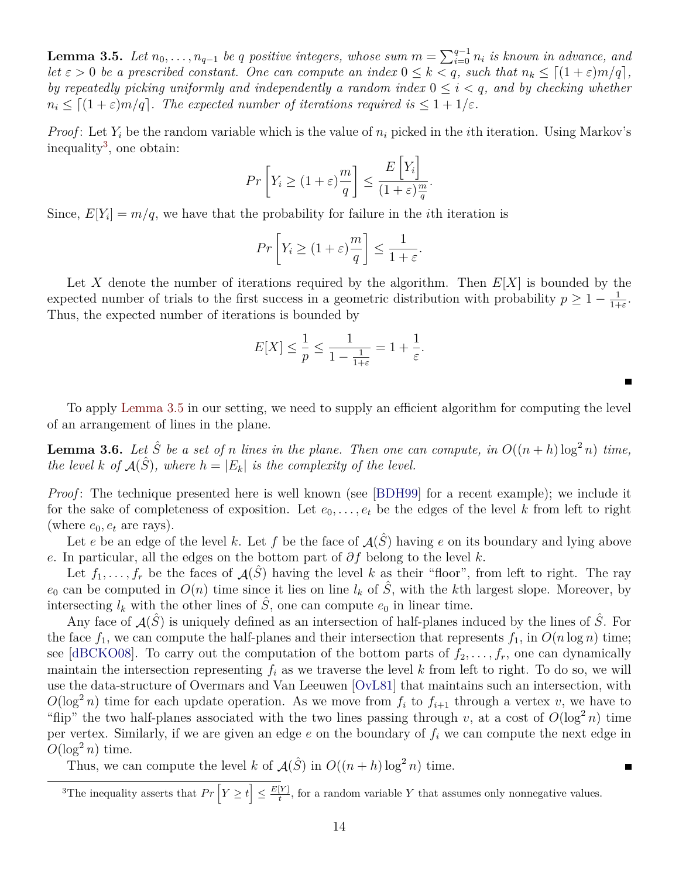**Lemma 3.5.** *Let*  $n_0, \ldots, n_{q-1}$  *be* q positive integers, whose sum  $m = \sum_{i=0}^{q-1} n_i$  is known in advance, and *let*  $\varepsilon > 0$  *be a prescribed constant. One can compute an index*  $0 \leq k < q$ *, such that*  $n_k \leq [(1+\varepsilon)m/q]$ *, by repeatedly picking uniformly and independently a random index*  $0 \leq i \leq q$ , and by checking whether  $n_i \leq \lceil (1 + \varepsilon)m/q \rceil$ *. The expected number of iterations required is*  $\leq 1 + 1/\varepsilon$ *.* 

*Proof*: Let  $Y_i$  be the random variable which is the value of  $n_i$  picked in the *i*th iteration. Using Markov's inequality<sup>[3](#page-13-0)</sup>, one obtain:  $\overline{a}$ 

$$
Pr\left[Y_i \ge (1+\varepsilon)\frac{m}{q}\right] \le \frac{E\left[Y_i\right]}{(1+\varepsilon)\frac{m}{q}}.
$$

Since,  $E[Y_i] = m/q$ , we have that the probability for failure in the *i*th iteration is

$$
Pr\left[Y_i \ge (1+\varepsilon)\frac{m}{q}\right] \le \frac{1}{1+\varepsilon}.
$$

Let X denote the number of iterations required by the algorithm. Then  $E[X]$  is bounded by the expected number of trials to the first success in a geometric distribution with probability  $p \geq 1 - \frac{1}{1+p}$  $\frac{1}{1+\varepsilon}$ . Thus, the expected number of iterations is bounded by

$$
E[X] \le \frac{1}{p} \le \frac{1}{1 - \frac{1}{1 + \varepsilon}} = 1 + \frac{1}{\varepsilon}.
$$

 $\blacksquare$ 

 $\blacksquare$ 

To apply [Lemma 3.5](#page-12-1) in our setting, we need to supply an efficient algorithm for computing the level of an arrangement of lines in the plane.

<span id="page-13-1"></span>**Lemma 3.6.** Let  $\hat{S}$  be a set of n lines in the plane. Then one can compute, in  $O((n+h)\log^2 n)$  time, *the level* k of  $A(\hat{S})$ *, where*  $h = |E_k|$  *is the complexity of the level.* 

*Proof*: The technique presented here is well known (see [\[BDH99\]](#page-20-8) for a recent example); we include it for the sake of completeness of exposition. Let  $e_0, \ldots, e_t$  be the edges of the level k from left to right (where  $e_0, e_t$  are rays).

Let e be an edge of the level k. Let f be the face of  $\mathcal{A}(\hat{S})$  having e on its boundary and lying above e. In particular, all the edges on the bottom part of  $\partial f$  belong to the level k.

Let  $f_1, \ldots, f_r$  be the faces of  $\mathcal{A}(\hat{S})$  having the level k as their "floor", from left to right. The ray  $e_0$  can be computed in  $O(n)$  time since it lies on line  $l_k$  of  $\tilde{S}$ , with the kth largest slope. Moreover, by intersecting  $l_k$  with the other lines of  $\hat{S}$ , one can compute  $e_0$  in linear time.

Any face of  $\mathcal{A}(\hat{S})$  is uniquely defined as an intersection of half-planes induced by the lines of  $\hat{S}$ . For the face  $f_1$ , we can compute the half-planes and their intersection that represents  $f_1$ , in  $O(n \log n)$  time; see [\[dBCKO08\]](#page-20-5). To carry out the computation of the bottom parts of  $f_2, \ldots, f_r$ , one can dynamically maintain the intersection representing  $f_i$  as we traverse the level k from left to right. To do so, we will use the data-structure of Overmars and Van Leeuwen [\[OvL81\]](#page-21-6) that maintains such an intersection, with  $O(\log^2 n)$  time for each update operation. As we move from  $f_i$  to  $f_{i+1}$  through a vertex v, we have to "flip" the two half-planes associated with the two lines passing through v, at a cost of  $O(\log^2 n)$  time per vertex. Similarly, if we are given an edge  $e$  on the boundary of  $f_i$  we can compute the next edge in  $O(\log^2 n)$  time.

Thus, we can compute the level k of  $\mathcal{A}(\hat{S})$  in  $O((n+h) \log^2 n)$  time.

<span id="page-13-0"></span><sup>&</sup>lt;sup>3</sup>The inequality asserts that  $Pr\left[Y \geq t\right] \leq \frac{E[Y]}{t}$  $\frac{Y}{t}$ , for a random variable Y that assumes only nonnegative values.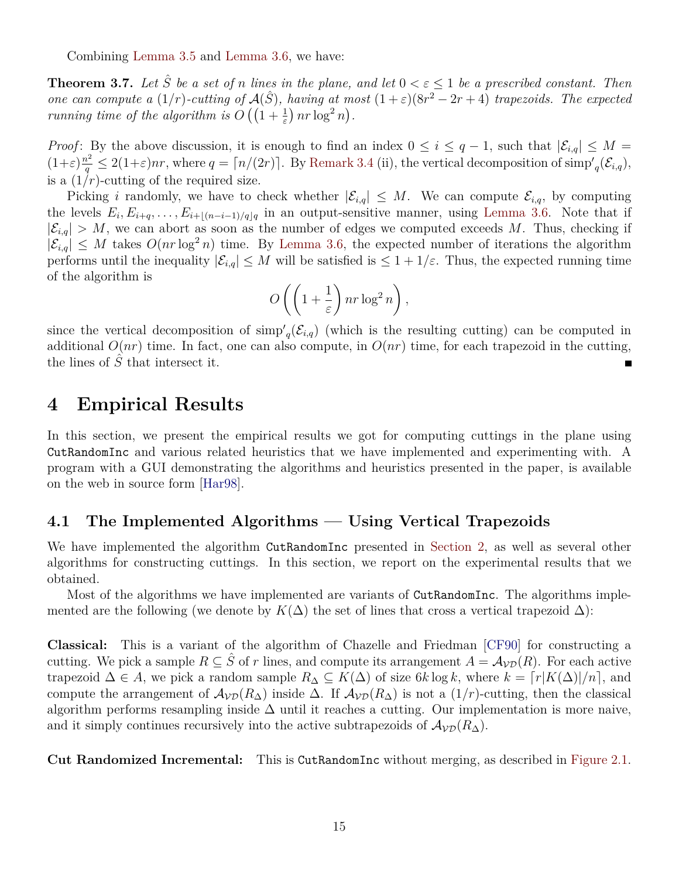Combining [Lemma 3.5](#page-12-1) and [Lemma 3.6,](#page-13-1) we have:

<span id="page-14-2"></span>**Theorem 3.7.** Let  $\hat{S}$  be a set of n lines in the plane, and let  $0 < \varepsilon \leq 1$  be a prescribed constant. Then *one can compute a*  $(1/r)$ -cutting of  $\mathcal{A}(\hat{S})$ , having at most  $(1+\varepsilon)(8r^2-2r+4)$  trapezoids. The expected *running time of the algorithm is*  $O\left(\left(1+\frac{1}{\varepsilon}\right)nr \log^2 n\right)$ .

*Proof*: By the above discussion, it is enough to find an index  $0 \le i \le q-1$ , such that  $|\mathcal{E}_{i,q}| \le M =$  $(1+\varepsilon)\frac{n^2}{q} \leq 2(1+\varepsilon)nr$ , where  $q = \lceil n/(2r) \rceil$ . By [Remark 3.4](#page-12-2) (ii), the vertical decomposition of simp'<sub>q</sub>( $\mathcal{E}_{i,q}$ ), is a  $(1/r)$ -cutting of the required size.

Picking i randomly, we have to check whether  $|\mathcal{E}_{i,q}| \leq M$ . We can compute  $\mathcal{E}_{i,q}$ , by computing the levels  $E_i, E_{i+q}, \ldots, E_{i+|(n-i-1)/q|q}$  in an output-sensitive manner, using [Lemma 3.6.](#page-13-1) Note that if  $|\mathcal{E}_{i,q}| > M$ , we can abort as soon as the number of edges we computed exceeds M. Thus, checking if  $|\mathcal{E}_{i,q}| \leq M$  takes  $O(nr \log^2 n)$  time. By [Lemma 3.6,](#page-13-1) the expected number of iterations the algorithm performs until the inequality  $|\mathcal{E}_{i,q}| \leq M$  will be satisfied is  $\leq 1 + 1/\varepsilon$ . Thus, the expected running time of the algorithm is

$$
O\left(\left(1+\frac{1}{\varepsilon}\right)nr\log^2 n\right),\,
$$

since the vertical decomposition of  $\text{simp}'_q(\mathcal{E}_{i,q})$  (which is the resulting cutting) can be computed in additional  $O(nr)$  time. In fact, one can also compute, in  $O(nr)$  time, for each trapezoid in the cutting, the lines of  $\hat{S}$  that intersect it.  $\blacksquare$ 

### <span id="page-14-0"></span>**4 Empirical Results**

In this section, we present the empirical results we got for computing cuttings in the plane using CutRandomInc and various related heuristics that we have implemented and experimenting with. A program with a GUI demonstrating the algorithms and heuristics presented in the paper, is available on the web in source form [\[Har98\]](#page-21-1).

#### <span id="page-14-1"></span>**4.1 The Implemented Algorithms — Using Vertical Trapezoids**

We have implemented the algorithm CutRandomInc presented in [Section 2,](#page-2-0) as well as several other algorithms for constructing cuttings. In this section, we report on the experimental results that we obtained.

Most of the algorithms we have implemented are variants of  $CutRandomInc$ . The algorithms implemented are the following (we denote by  $K(\Delta)$  the set of lines that cross a vertical trapezoid  $\Delta$ ):

**Classical:** This is a variant of the algorithm of Chazelle and Friedman [\[CF90\]](#page-20-3) for constructing a cutting. We pick a sample  $R \subseteq \hat{S}$  of r lines, and compute its arrangement  $A = \mathcal{A}_{\mathcal{VD}}(R)$ . For each active trapezoid  $\Delta \in A$ , we pick a random sample  $R_{\Delta} \subseteq K(\Delta)$  of size 6k log k, where  $k = \lceil r|K(\Delta)|/n \rceil$ , and compute the arrangement of  $A_{\mathcal{VD}}(R_{\Delta})$  inside  $\Delta$ . If  $A_{\mathcal{VD}}(R_{\Delta})$  is not a  $(1/r)$ -cutting, then the classical algorithm performs resampling inside  $\Delta$  until it reaches a cutting. Our implementation is more naive, and it simply continues recursively into the active subtrapezoids of  $A_{\mathcal{V}\mathcal{D}}(R_{\Delta})$ .

**Cut Randomized Incremental:** This is CutRandomInc without merging, as described in [Figure 2.1.](#page-3-0)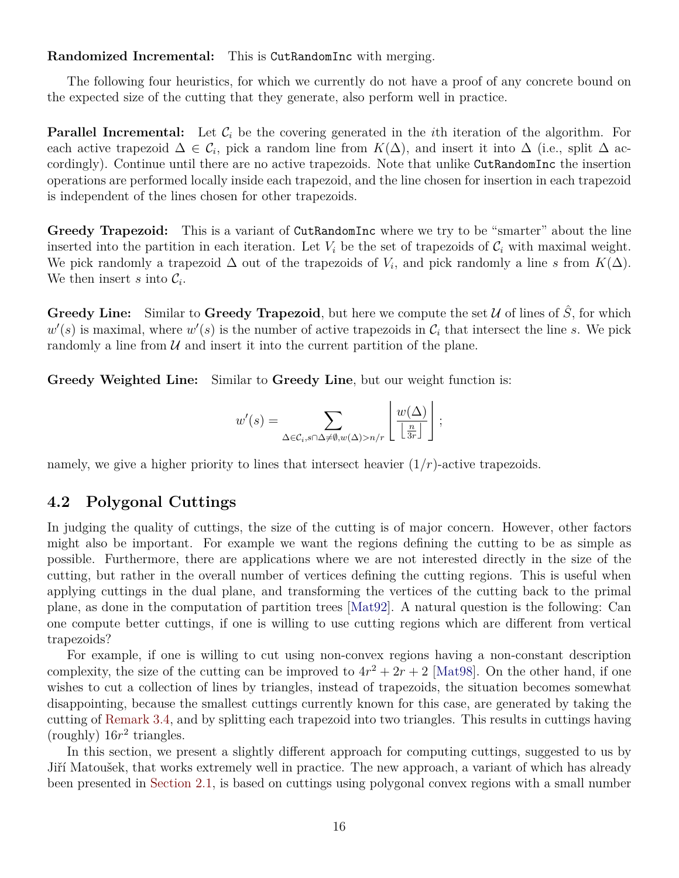**Randomized Incremental:** This is CutRandomInc with merging.

The following four heuristics, for which we currently do not have a proof of any concrete bound on the expected size of the cutting that they generate, also perform well in practice.

**Parallel Incremental:** Let  $\mathcal{C}_i$  be the covering generated in the *i*th iteration of the algorithm. For each active trapezoid  $\Delta \in \mathcal{C}_i$ , pick a random line from  $K(\Delta)$ , and insert it into  $\Delta$  (i.e., split  $\Delta$  accordingly). Continue until there are no active trapezoids. Note that unlike CutRandomInc the insertion operations are performed locally inside each trapezoid, and the line chosen for insertion in each trapezoid is independent of the lines chosen for other trapezoids.

**Greedy Trapezoid:** This is a variant of CutRandomInc where we try to be "smarter" about the line inserted into the partition in each iteration. Let  $V_i$  be the set of trapezoids of  $C_i$  with maximal weight. We pick randomly a trapezoid  $\Delta$  out of the trapezoids of  $V_i$ , and pick randomly a line s from  $K(\Delta)$ . We then insert s into  $\mathcal{C}_i$ .

**Greedy Line:** Similar to **Greedy Trapezoid**, but here we compute the set  $\mathcal{U}$  of lines of  $\hat{S}$ , for which  $w'(s)$  is maximal, where  $w'(s)$  is the number of active trapezoids in  $\mathcal{C}_i$  that intersect the line s. We pick randomly a line from  $U$  and insert it into the current partition of the plane.

**Greedy Weighted Line:** Similar to **Greedy Line**, but our weight function is:

$$
w'(s) = \sum_{\Delta \in \mathcal{C}_i, s \cap \Delta \neq \emptyset, w(\Delta) > n/r} \left\lfloor \frac{w(\Delta)}{\left\lfloor \frac{n}{3r} \right\rfloor} \right\rfloor;
$$

namely, we give a higher priority to lines that intersect heavier  $(1/r)$ -active trapezoids.

### <span id="page-15-0"></span>**4.2 Polygonal Cuttings**

In judging the quality of cuttings, the size of the cutting is of major concern. However, other factors might also be important. For example we want the regions defining the cutting to be as simple as possible. Furthermore, there are applications where we are not interested directly in the size of the cutting, but rather in the overall number of vertices defining the cutting regions. This is useful when applying cuttings in the dual plane, and transforming the vertices of the cutting back to the primal plane, as done in the computation of partition trees [\[Mat92\]](#page-21-7). A natural question is the following: Can one compute better cuttings, if one is willing to use cutting regions which are different from vertical trapezoids?

For example, if one is willing to cut using non-convex regions having a non-constant description complexity, the size of the cutting can be improved to  $4r^2 + 2r + 2$  [\[Mat98\]](#page-21-0). On the other hand, if one wishes to cut a collection of lines by triangles, instead of trapezoids, the situation becomes somewhat disappointing, because the smallest cuttings currently known for this case, are generated by taking the cutting of [Remark 3.4,](#page-12-2) and by splitting each trapezoid into two triangles. This results in cuttings having (roughly)  $16r^2$  triangles.

In this section, we present a slightly different approach for computing cuttings, suggested to us by Jiří Matoušek, that works extremely well in practice. The new approach, a variant of which has already been presented in [Section 2.1,](#page-10-0) is based on cuttings using polygonal convex regions with a small number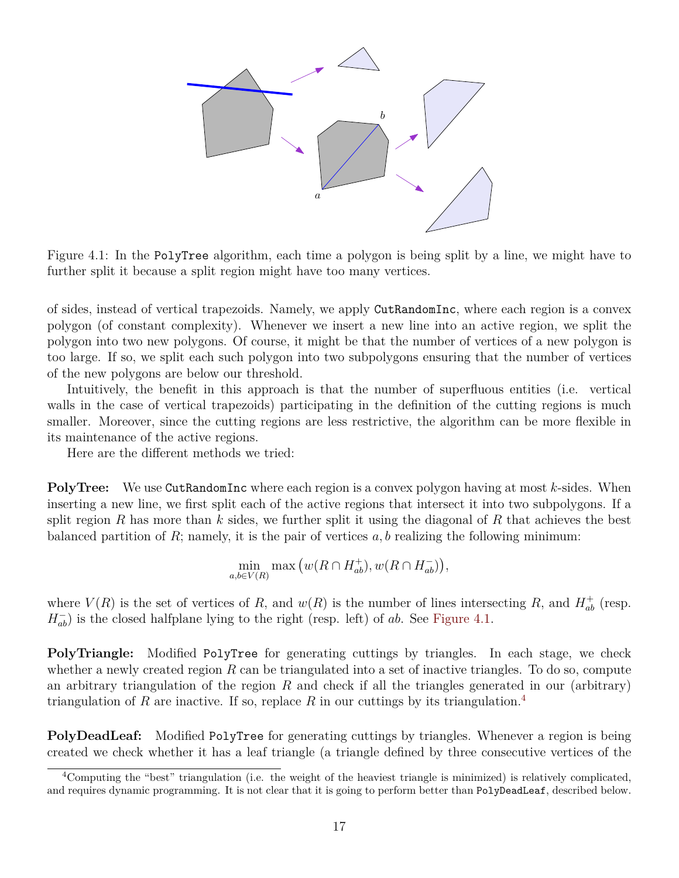

<span id="page-16-0"></span>Figure 4.1: In the PolyTree algorithm, each time a polygon is being split by a line, we might have to further split it because a split region might have too many vertices.

of sides, instead of vertical trapezoids. Namely, we apply CutRandomInc, where each region is a convex polygon (of constant complexity). Whenever we insert a new line into an active region, we split the polygon into two new polygons. Of course, it might be that the number of vertices of a new polygon is too large. If so, we split each such polygon into two subpolygons ensuring that the number of vertices of the new polygons are below our threshold.

Intuitively, the benefit in this approach is that the number of superfluous entities (i.e. vertical walls in the case of vertical trapezoids) participating in the definition of the cutting regions is much smaller. Moreover, since the cutting regions are less restrictive, the algorithm can be more flexible in its maintenance of the active regions.

Here are the different methods we tried:

**PolyTree:** We use CutRandomInc where each region is a convex polygon having at most k-sides. When inserting a new line, we first split each of the active regions that intersect it into two subpolygons. If a split region R has more than k sides, we further split it using the diagonal of R that achieves the best balanced partition of  $R$ ; namely, it is the pair of vertices  $a, b$  realizing the following minimum:

$$
\min_{a,b\in V(R)} \max\left(w(R\cap H_{ab}^+), w(R\cap H_{ab}^-)\right),\,
$$

where  $V(R)$  is the set of vertices of R, and  $w(R)$  is the number of lines intersecting R, and  $H_{ab}^+$  (resp.  $H_{ab}^-$ ) is the closed halfplane lying to the right (resp. left) of ab. See [Figure 4.1.](#page-16-0)

**PolyTriangle:** Modified PolyTree for generating cuttings by triangles. In each stage, we check whether a newly created region  $R$  can be triangulated into a set of inactive triangles. To do so, compute an arbitrary triangulation of the region R and check if all the triangles generated in our (arbitrary) triangulation of R are inactive. If so, replace R in our cuttings by its triangulation.<sup>[4](#page-16-1)</sup>

**PolyDeadLeaf:** Modified PolyTree for generating cuttings by triangles. Whenever a region is being created we check whether it has a leaf triangle (a triangle defined by three consecutive vertices of the

<span id="page-16-1"></span><sup>4</sup>Computing the "best" triangulation (i.e. the weight of the heaviest triangle is minimized) is relatively complicated, and requires dynamic programming. It is not clear that it is going to perform better than PolyDeadLeaf, described below.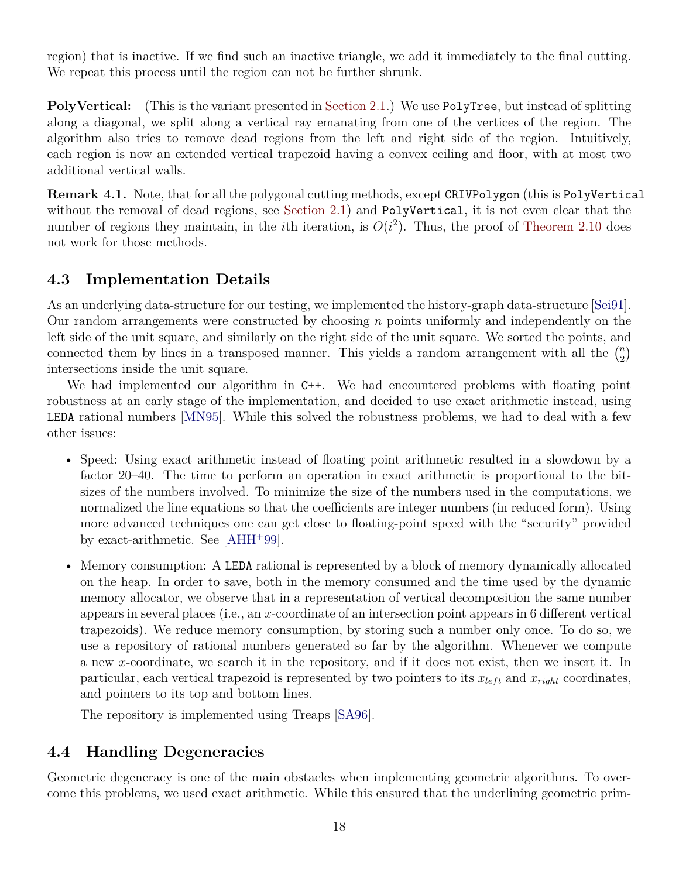region) that is inactive. If we find such an inactive triangle, we add it immediately to the final cutting. We repeat this process until the region can not be further shrunk.

**PolyVertical:** (This is the variant presented in [Section 2.1.](#page-10-0)) We use PolyTree, but instead of splitting along a diagonal, we split along a vertical ray emanating from one of the vertices of the region. The algorithm also tries to remove dead regions from the left and right side of the region. Intuitively, each region is now an extended vertical trapezoid having a convex ceiling and floor, with at most two additional vertical walls.

**Remark 4.1.** Note, that for all the polygonal cutting methods, except CRIVPolygon (this is PolyVertical without the removal of dead regions, see [Section 2.1\)](#page-10-0) and PolyVertical, it is not even clear that the number of regions they maintain, in the *i*th iteration, is  $O(i^2)$ . Thus, the proof of [Theorem 2.10](#page-7-1) does not work for those methods.

# **4.3 Implementation Details**

As an underlying data-structure for our testing, we implemented the history-graph data-structure [\[Sei91\]](#page-21-8). Our random arrangements were constructed by choosing  $n$  points uniformly and independently on the left side of the unit square, and similarly on the right side of the unit square. We sorted the points, and connected them by lines in a transposed manner. This yields a random arrangement with all the  $\binom{n}{2}$  $\binom{n}{2}$ intersections inside the unit square.

We had implemented our algorithm in  $C++$ . We had encountered problems with floating point robustness at an early stage of the implementation, and decided to use exact arithmetic instead, using LEDA rational numbers [\[MN95\]](#page-21-9). While this solved the robustness problems, we had to deal with a few other issues:

- Speed: Using exact arithmetic instead of floating point arithmetic resulted in a slowdown by a factor 20–40. The time to perform an operation in exact arithmetic is proportional to the bitsizes of the numbers involved. To minimize the size of the numbers used in the computations, we normalized the line equations so that the coefficients are integer numbers (in reduced form). Using more advanced techniques one can get close to floating-point speed with the "security" provided by exact-arithmetic. See [\[AHH](#page-20-9)<sup>+</sup>99].
- Memory consumption: A LEDA rational is represented by a block of memory dynamically allocated on the heap. In order to save, both in the memory consumed and the time used by the dynamic memory allocator, we observe that in a representation of vertical decomposition the same number appears in several places (i.e., an x-coordinate of an intersection point appears in 6 different vertical trapezoids). We reduce memory consumption, by storing such a number only once. To do so, we use a repository of rational numbers generated so far by the algorithm. Whenever we compute a new x-coordinate, we search it in the repository, and if it does not exist, then we insert it. In particular, each vertical trapezoid is represented by two pointers to its  $x_{left}$  and  $x_{right}$  coordinates, and pointers to its top and bottom lines.

The repository is implemented using Treaps [\[SA96\]](#page-21-10).

# **4.4 Handling Degeneracies**

Geometric degeneracy is one of the main obstacles when implementing geometric algorithms. To overcome this problems, we used exact arithmetic. While this ensured that the underlining geometric prim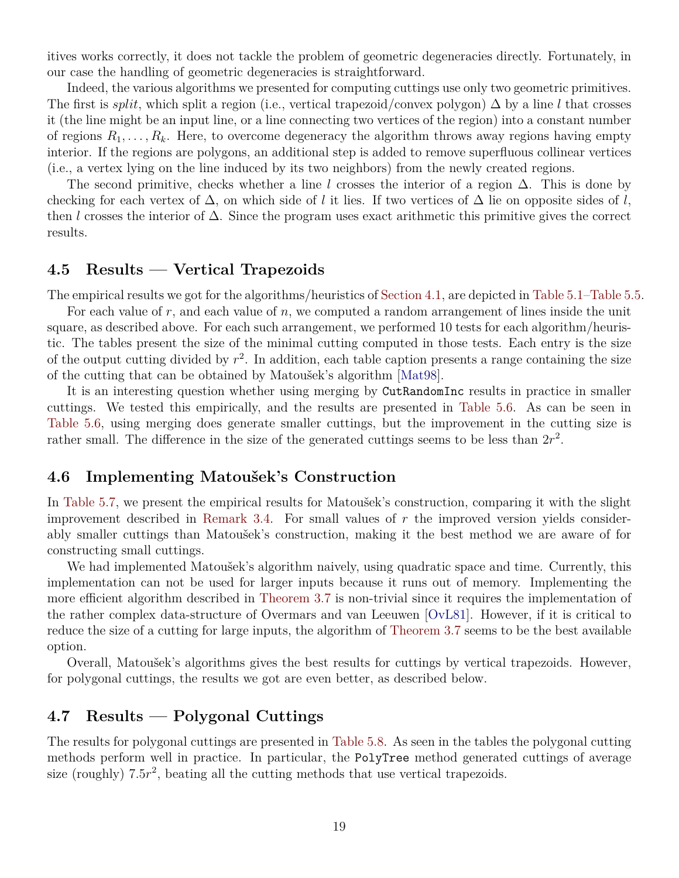itives works correctly, it does not tackle the problem of geometric degeneracies directly. Fortunately, in our case the handling of geometric degeneracies is straightforward.

Indeed, the various algorithms we presented for computing cuttings use only two geometric primitives. The first is *split*, which split a region (i.e., vertical trapezoid/convex polygon)  $\Delta$  by a line l that crosses it (the line might be an input line, or a line connecting two vertices of the region) into a constant number of regions  $R_1, \ldots, R_k$ . Here, to overcome degeneracy the algorithm throws away regions having empty interior. If the regions are polygons, an additional step is added to remove superfluous collinear vertices (i.e., a vertex lying on the line induced by its two neighbors) from the newly created regions.

The second primitive, checks whether a line l crosses the interior of a region  $\Delta$ . This is done by checking for each vertex of  $\Delta$ , on which side of l it lies. If two vertices of  $\Delta$  lie on opposite sides of l, then l crosses the interior of  $\Delta$ . Since the program uses exact arithmetic this primitive gives the correct results.

#### **4.5 Results — Vertical Trapezoids**

The empirical results we got for the algorithms/heuristics of [Section 4.1,](#page-14-1) are depicted in [Table 5.1](#page-22-0)[–Table 5.5.](#page-23-0)

For each value of r, and each value of  $n$ , we computed a random arrangement of lines inside the unit square, as described above. For each such arrangement, we performed 10 tests for each algorithm/heuristic. The tables present the size of the minimal cutting computed in those tests. Each entry is the size of the output cutting divided by  $r^2$ . In addition, each table caption presents a range containing the size of the cutting that can be obtained by Matoušek's algorithm [\[Mat98\]](#page-21-0).

It is an interesting question whether using merging by CutRandomInc results in practice in smaller cuttings. We tested this empirically, and the results are presented in [Table 5.6.](#page-23-1) As can be seen in [Table 5.6,](#page-23-1) using merging does generate smaller cuttings, but the improvement in the cutting size is rather small. The difference in the size of the generated cuttings seems to be less than  $2r^2$ .

#### **4.6 Implementing Matoušek's Construction**

In [Table 5.7,](#page-24-0) we present the empirical results for Matoušek's construction, comparing it with the slight improvement described in [Remark 3.4.](#page-12-2) For small values of  $r$  the improved version yields considerably smaller cuttings than Matoušek's construction, making it the best method we are aware of for constructing small cuttings.

We had implemented Matoušek's algorithm naively, using quadratic space and time. Currently, this implementation can not be used for larger inputs because it runs out of memory. Implementing the more efficient algorithm described in [Theorem 3.7](#page-14-2) is non-trivial since it requires the implementation of the rather complex data-structure of Overmars and van Leeuwen [\[OvL81\]](#page-21-6). However, if it is critical to reduce the size of a cutting for large inputs, the algorithm of [Theorem 3.7](#page-14-2) seems to be the best available option.

Overall, Matoušek's algorithms gives the best results for cuttings by vertical trapezoids. However, for polygonal cuttings, the results we got are even better, as described below.

### **4.7 Results — Polygonal Cuttings**

The results for polygonal cuttings are presented in [Table 5.8.](#page-25-0) As seen in the tables the polygonal cutting methods perform well in practice. In particular, the PolyTree method generated cuttings of average size (roughly)  $7.5r^2$ , beating all the cutting methods that use vertical trapezoids.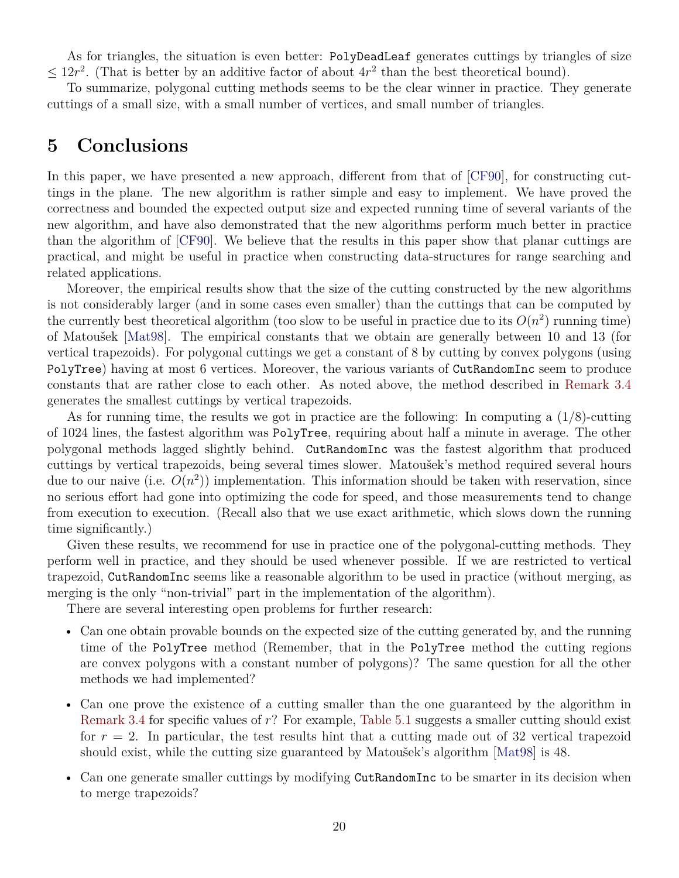As for triangles, the situation is even better: PolyDeadLeaf generates cuttings by triangles of size  $\leq 12r^2$ . (That is better by an additive factor of about  $4r^2$  than the best theoretical bound).

To summarize, polygonal cutting methods seems to be the clear winner in practice. They generate cuttings of a small size, with a small number of vertices, and small number of triangles.

### <span id="page-19-0"></span>**5 Conclusions**

In this paper, we have presented a new approach, different from that of [\[CF90\]](#page-20-3), for constructing cuttings in the plane. The new algorithm is rather simple and easy to implement. We have proved the correctness and bounded the expected output size and expected running time of several variants of the new algorithm, and have also demonstrated that the new algorithms perform much better in practice than the algorithm of [\[CF90\]](#page-20-3). We believe that the results in this paper show that planar cuttings are practical, and might be useful in practice when constructing data-structures for range searching and related applications.

Moreover, the empirical results show that the size of the cutting constructed by the new algorithms is not considerably larger (and in some cases even smaller) than the cuttings that can be computed by the currently best theoretical algorithm (too slow to be useful in practice due to its  $O(n^2)$  running time) of Matoušek [\[Mat98\]](#page-21-0). The empirical constants that we obtain are generally between 10 and 13 (for vertical trapezoids). For polygonal cuttings we get a constant of 8 by cutting by convex polygons (using PolyTree) having at most 6 vertices. Moreover, the various variants of CutRandomInc seem to produce constants that are rather close to each other. As noted above, the method described in [Remark 3.4](#page-12-2) generates the smallest cuttings by vertical trapezoids.

As for running time, the results we got in practice are the following: In computing a  $(1/8)$ -cutting of 1024 lines, the fastest algorithm was PolyTree, requiring about half a minute in average. The other polygonal methods lagged slightly behind. CutRandomInc was the fastest algorithm that produced cuttings by vertical trapezoids, being several times slower. Matoušek's method required several hours due to our naive (i.e.  $O(n^2)$ ) implementation. This information should be taken with reservation, since no serious effort had gone into optimizing the code for speed, and those measurements tend to change from execution to execution. (Recall also that we use exact arithmetic, which slows down the running time significantly.)

Given these results, we recommend for use in practice one of the polygonal-cutting methods. They perform well in practice, and they should be used whenever possible. If we are restricted to vertical trapezoid, CutRandomInc seems like a reasonable algorithm to be used in practice (without merging, as merging is the only "non-trivial" part in the implementation of the algorithm).

There are several interesting open problems for further research:

- Can one obtain provable bounds on the expected size of the cutting generated by, and the running time of the PolyTree method (Remember, that in the PolyTree method the cutting regions are convex polygons with a constant number of polygons)? The same question for all the other methods we had implemented?
- Can one prove the existence of a cutting smaller than the one guaranteed by the algorithm in [Remark 3.4](#page-12-2) for specific values of  $r$ ? For example, [Table 5.1](#page-22-0) suggests a smaller cutting should exist for  $r = 2$ . In particular, the test results hint that a cutting made out of 32 vertical trapezoid should exist, while the cutting size guaranteed by Matoušek's algorithm [\[Mat98\]](#page-21-0) is 48.
- Can one generate smaller cuttings by modifying CutRandomInc to be smarter in its decision when to merge trapezoids?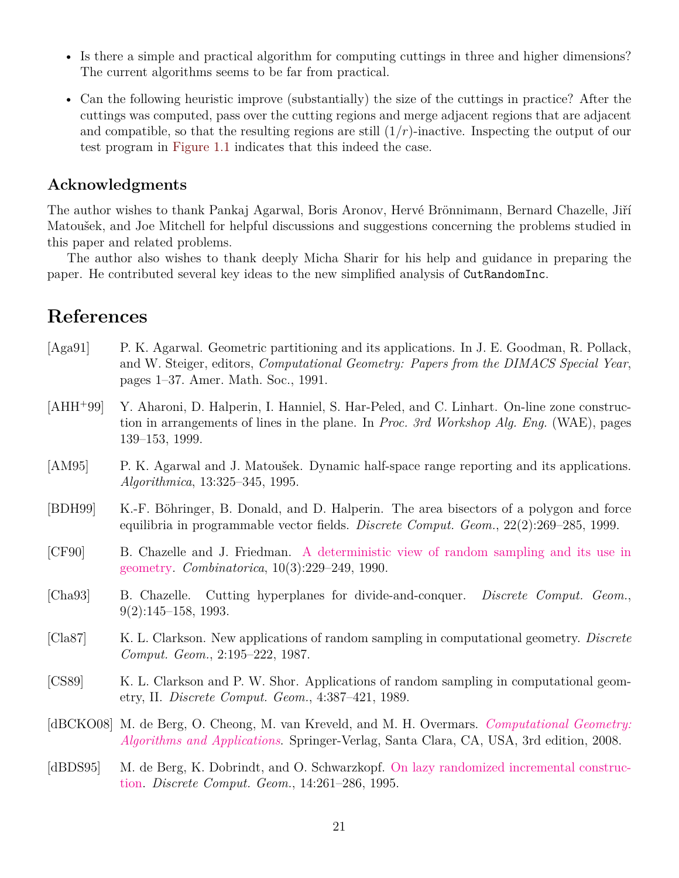- Is there a simple and practical algorithm for computing cuttings in three and higher dimensions? The current algorithms seems to be far from practical.
- Can the following heuristic improve (substantially) the size of the cuttings in practice? After the cuttings was computed, pass over the cutting regions and merge adjacent regions that are adjacent and compatible, so that the resulting regions are still  $(1/r)$ -inactive. Inspecting the output of our test program in [Figure 1.1](#page-1-0) indicates that this indeed the case.

### **Acknowledgments**

The author wishes to thank Pankaj Agarwal, Boris Aronov, Hervé Brönnimann, Bernard Chazelle, Jiří Matoušek, and Joe Mitchell for helpful discussions and suggestions concerning the problems studied in this paper and related problems.

The author also wishes to thank deeply Micha Sharir for his help and guidance in preparing the paper. He contributed several key ideas to the new simplified analysis of CutRandomInc.

# **References**

<span id="page-20-9"></span><span id="page-20-8"></span><span id="page-20-7"></span><span id="page-20-6"></span><span id="page-20-5"></span><span id="page-20-4"></span><span id="page-20-3"></span><span id="page-20-2"></span><span id="page-20-1"></span><span id="page-20-0"></span>

| [Aga91]     | P. K. Agarwal. Geometric partitioning and its applications. In J. E. Goodman, R. Pollack,<br>and W. Steiger, editors, <i>Computational Geometry: Papers from the DIMACS Special Year</i> ,<br>pages 1–37. Amer. Math. Soc., 1991. |
|-------------|-----------------------------------------------------------------------------------------------------------------------------------------------------------------------------------------------------------------------------------|
| $[AHH^+99]$ | Y. Aharoni, D. Halperin, I. Hanniel, S. Har-Peled, and C. Linhart. On-line zone construc-<br>tion in arrangements of lines in the plane. In <i>Proc. 3rd Workshop Alg. Eng.</i> (WAE), pages<br>139-153, 1999.                    |
| [AM95]      | P. K. Agarwal and J. Matoušek. Dynamic half-space range reporting and its applications.<br><i>Algorithmica</i> , 13:325-345, 1995.                                                                                                |
| [BDH99]     | K.-F. Böhringer, B. Donald, and D. Halperin. The area bisectors of a polygon and force<br>equilibria in programmable vector fields. Discrete Comput. Geom., 22(2):269-285, 1999.                                                  |
| [CF90]      | B. Chazelle and J. Friedman. A deterministic view of random sampling and its use in<br>geometry. <i>Combinatorica</i> , $10(3):229-249$ , 1990.                                                                                   |
| [Cha93]     | B. Chazelle. Cutting hyperplanes for divide-and-conquer. <i>Discrete Comput. Geom.</i> ,<br>$9(2):145-158, 1993.$                                                                                                                 |
| [Cla87]     | K. L. Clarkson. New applications of random sampling in computational geometry. Discrete<br>Comput. Geom., 2:195-222, 1987.                                                                                                        |
| [CS89]      | K. L. Clarkson and P. W. Shor. Applications of random sampling in computational geom-<br>etry, II. Discrete Comput. Geom., 4:387-421, 1989.                                                                                       |
|             | [dBCKO08] M. de Berg, O. Cheong, M. van Kreveld, and M. H. Overmars. Computational Geometry:<br><i>Algorithms and Applications.</i> Springer-Verlag, Santa Clara, CA, USA, 3rd edition, 2008.                                     |
| [dBDS95]    | M. de Berg, K. Dobrindt, and O. Schwarzkopf. On lazy randomized incremental construc-<br>tion. Discrete Comput. Geom., 14:261-286, 1995.                                                                                          |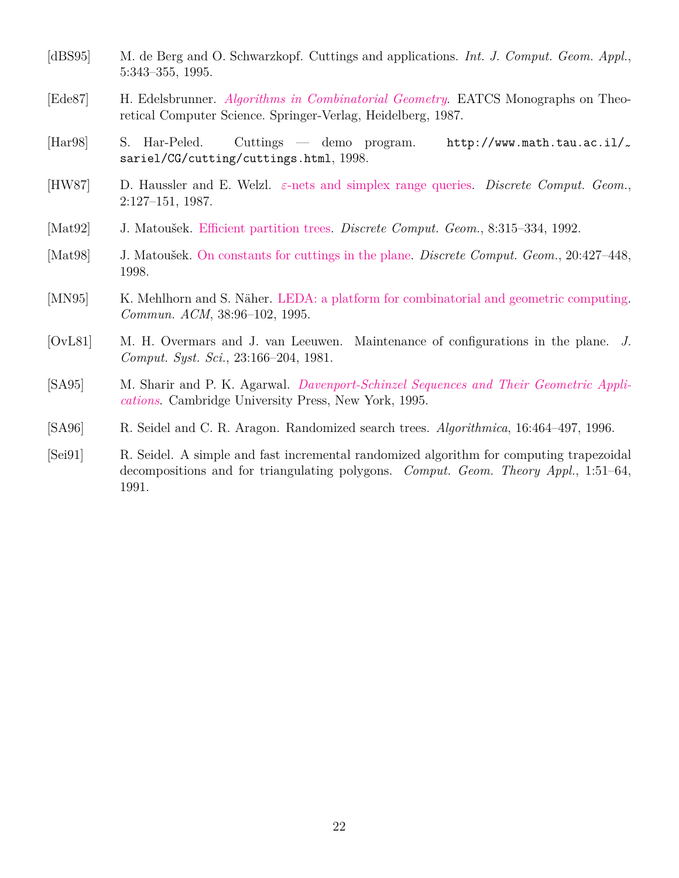- <span id="page-21-5"></span>[dBS95] [M. de Berg](http://www.win.tue.nl/~mdberg/) and [O. Schwarzkopf.](http://www.win.tue.nl/~ocheong/) Cuttings and applications. *Int. J. Comput. Geom. Appl.*, 5:343–355, 1995.
- <span id="page-21-2"></span>[Ede87] [H. Edelsbrunner.](http://www.cs.duke.edu/~edels/) *[Algorithms in Combinatorial Geometry](http://www.springer.de/cgi-bin/search_book.pl?isbn=3-540-13722-X&cookie=done)*. EATCS Monographs on Theoretical Computer Science. Springer-Verlag, Heidelberg, 1987.
- <span id="page-21-1"></span>[Har98] [S. Har-Peled.](http://sarielhp.org) Cuttings — demo program. http://www.math.tau.ac.il/~ sariel/CG/cutting/cuttings.html, 1998.
- <span id="page-21-4"></span>[HW87] D. Haussler and E. Welzl. ε[-nets and simplex range queries.](http://dx.doi.org/10.1007/BF02187876) *[Discrete Comput. Geom.](http://link.springer.com/journal/454)*, 2:127–151, 1987.
- <span id="page-21-7"></span>[Mat92] [J. Matoušek.](http://kam.mff.cuni.cz/~matousek) [Efficient partition trees.](http://dx.doi.org/10.1007/BF02293051) *[Discrete Comput. Geom.](http://link.springer.com/journal/454)*, 8:315–334, 1992.
- <span id="page-21-0"></span>[Mat98] [J. Matoušek.](http://kam.mff.cuni.cz/~matousek) [On constants for cuttings in the plane.](http://link.springer.com/article/10.1007%2FPL00009394) *[Discrete Comput. Geom.](http://link.springer.com/journal/454)*, 20:427–448, 1998.
- <span id="page-21-9"></span>[MN95] K. Mehlhorn and S. Näher. [LEDA: a platform for combinatorial and geometric computing.](http://www.mpi-sb.mpg.de/guide/staff/uhrig/leda.html) *Commun. ACM*, 38:96–102, 1995.
- <span id="page-21-6"></span>[OvL81] [M. H. Overmars](http://www.cs.uu.nl/people/markov/) and J. van Leeuwen. Maintenance of configurations in the plane. *J. Comput. Syst. Sci.*, 23:166–204, 1981.
- <span id="page-21-3"></span>[SA95] [M. Sharir](http://www.math.tau.ac.il/~michas) and [P. K. Agarwal.](http://www.cs.duke.edu/~pankaj) *Davenport-Schinzel Sequences and Their Geometric Appli[cations](http://us.cambridge.org/titles/catalogue.asp?isbn=0521470250)*. Cambridge University Press, New York, 1995.
- <span id="page-21-10"></span>[SA96] [R. Seidel](http://www-tcs.cs.uni-sb.de/seidel/) and C. R. Aragon. Randomized search trees. *Algorithmica*, 16:464–497, 1996.
- <span id="page-21-8"></span>[Sei91] [R. Seidel.](http://www-tcs.cs.uni-sb.de/seidel/) A simple and fast incremental randomized algorithm for computing trapezoidal decompositions and for triangulating polygons. *Comput. Geom. Theory Appl.*, 1:51–64, 1991.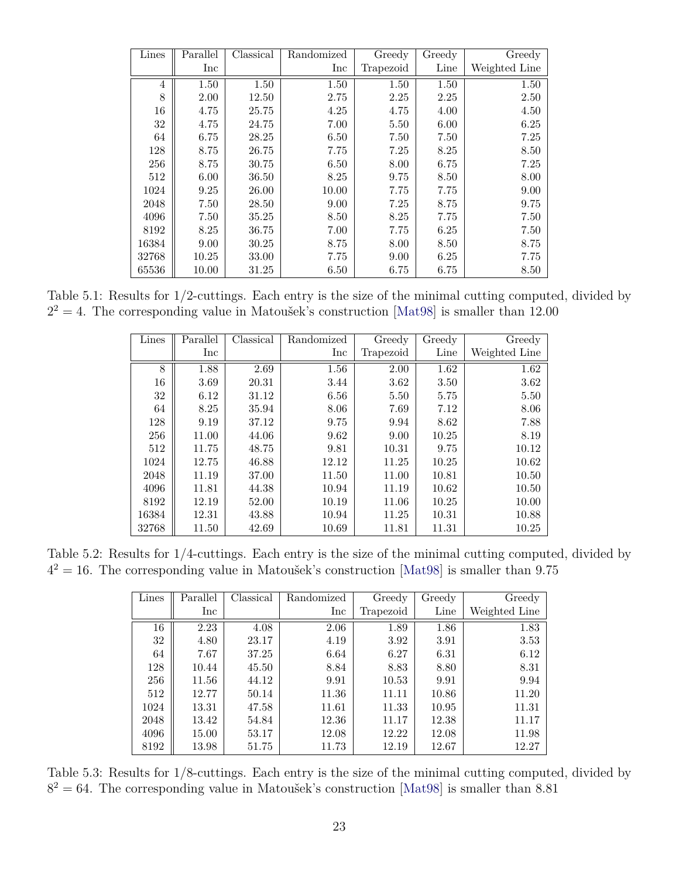| Lines          | Parallel | Classical | Randomized | Greedy    | Greedy | Greedy        |
|----------------|----------|-----------|------------|-----------|--------|---------------|
|                | Inc      |           | Inc        | Trapezoid | Line   | Weighted Line |
| $\overline{4}$ | 1.50     | 1.50      | 1.50       | 1.50      | 1.50   | 1.50          |
| 8              | 2.00     | 12.50     | 2.75       | 2.25      | 2.25   | 2.50          |
| 16             | 4.75     | 25.75     | 4.25       | 4.75      | 4.00   | 4.50          |
| 32             | 4.75     | 24.75     | 7.00       | 5.50      | 6.00   | 6.25          |
| 64             | 6.75     | $28.25\,$ | 6.50       | 7.50      | 7.50   | 7.25          |
| 128            | 8.75     | 26.75     | 7.75       | 7.25      | 8.25   | 8.50          |
| 256            | 8.75     | 30.75     | 6.50       | 8.00      | 6.75   | 7.25          |
| 512            | 6.00     | 36.50     | 8.25       | 9.75      | 8.50   | 8.00          |
| 1024           | 9.25     | 26.00     | 10.00      | 7.75      | 7.75   | 9.00          |
| 2048           | 7.50     | 28.50     | 9.00       | 7.25      | 8.75   | 9.75          |
| 4096           | 7.50     | 35.25     | 8.50       | 8.25      | 7.75   | 7.50          |
| 8192           | 8.25     | 36.75     | 7.00       | 7.75      | 6.25   | 7.50          |
| 16384          | 9.00     | 30.25     | 8.75       | 8.00      | 8.50   | 8.75          |
| 32768          | 10.25    | 33.00     | 7.75       | 9.00      | 6.25   | 7.75          |
| 65536          | 10.00    | 31.25     | 6.50       | 6.75      | 6.75   | 8.50          |

Table 5.1: Results for 1/2-cuttings. Each entry is the size of the minimal cutting computed, divided by  $2^2 = 4$ . The corresponding value in Matoušek's construction [\[Mat98\]](#page-21-0) is smaller than 12.00

<span id="page-22-0"></span>

| Lines | Parallel | Classical | Randomized | Greedy    | Greedy | Greedy        |
|-------|----------|-----------|------------|-----------|--------|---------------|
|       | Inc      |           | Inc        | Trapezoid | Line   | Weighted Line |
| 8     | 1.88     | 2.69      | 1.56       | 2.00      | 1.62   | 1.62          |
| 16    | 3.69     | 20.31     | 3.44       | 3.62      | 3.50   | 3.62          |
| 32    | 6.12     | 31.12     | 6.56       | 5.50      | 5.75   | 5.50          |
| 64    | 8.25     | 35.94     | 8.06       | 7.69      | 7.12   | 8.06          |
| 128   | 9.19     | 37.12     | 9.75       | 9.94      | 8.62   | 7.88          |
| 256   | 11.00    | 44.06     | 9.62       | 9.00      | 10.25  | 8.19          |
| 512   | 11.75    | 48.75     | 9.81       | 10.31     | 9.75   | 10.12         |
| 1024  | 12.75    | 46.88     | 12.12      | 11.25     | 10.25  | 10.62         |
| 2048  | 11.19    | 37.00     | 11.50      | 11.00     | 10.81  | 10.50         |
| 4096  | 11.81    | 44.38     | 10.94      | 11.19     | 10.62  | 10.50         |
| 8192  | 12.19    | 52.00     | 10.19      | 11.06     | 10.25  | 10.00         |
| 16384 | 12.31    | 43.88     | 10.94      | 11.25     | 10.31  | 10.88         |
| 32768 | 11.50    | 42.69     | 10.69      | 11.81     | 11.31  | 10.25         |

Table 5.2: Results for 1/4-cuttings. Each entry is the size of the minimal cutting computed, divided by  $4^2 = 16$ . The corresponding value in Matoušek's construction [\[Mat98\]](#page-21-0) is smaller than 9.75

| Lines | Parallel | Classical | Randomized | Greedy    | Greedy | Greedy        |
|-------|----------|-----------|------------|-----------|--------|---------------|
|       | Inc      |           | Inc        | Trapezoid | Line   | Weighted Line |
| 16    | 2.23     | 4.08      | 2.06       | 1.89      | 1.86   | 1.83          |
| 32    | 4.80     | 23.17     | 4.19       | 3.92      | 3.91   | 3.53          |
| 64    | 7.67     | 37.25     | 6.64       | 6.27      | 6.31   | 6.12          |
| 128   | 10.44    | 45.50     | 8.84       | 8.83      | 8.80   | 8.31          |
| 256   | 11.56    | 44.12     | 9.91       | 10.53     | 9.91   | 9.94          |
| 512   | 12.77    | 50.14     | 11.36      | 11.11     | 10.86  | 11.20         |
| 1024  | 13.31    | 47.58     | 11.61      | 11.33     | 10.95  | 11.31         |
| 2048  | 13.42    | 54.84     | 12.36      | 11.17     | 12.38  | 11.17         |
| 4096  | 15.00    | 53.17     | 12.08      | 12.22     | 12.08  | 11.98         |
| 8192  | 13.98    | 51.75     | 11.73      | 12.19     | 12.67  | 12.27         |

Table 5.3: Results for 1/8-cuttings. Each entry is the size of the minimal cutting computed, divided by  $8^2 = 64$ . The corresponding value in Matoušek's construction [\[Mat98\]](#page-21-0) is smaller than 8.81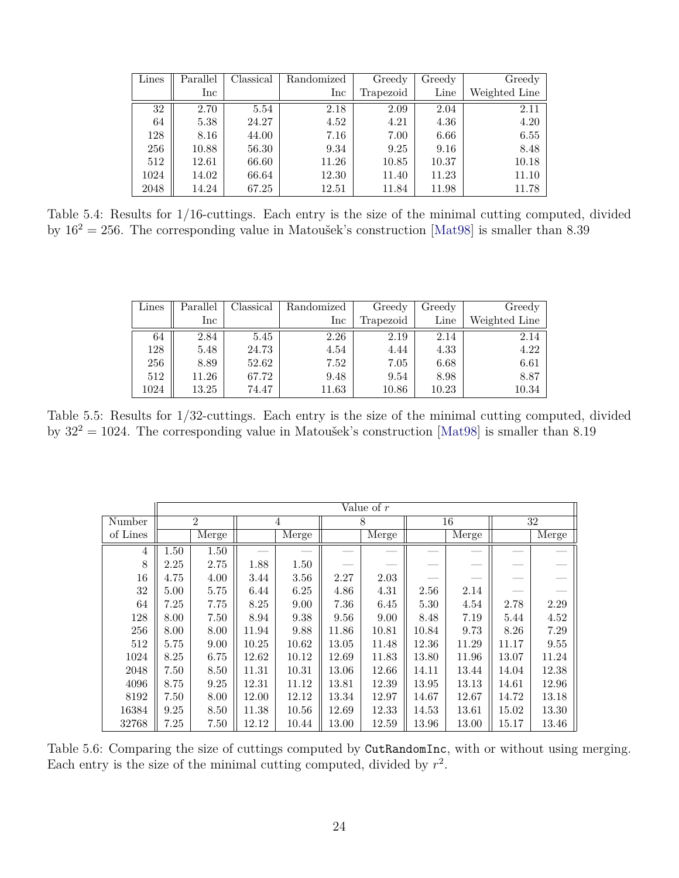| Lines | Parallel          | Classical | Randomized | Greedy    | Greedy | Greedy        |
|-------|-------------------|-----------|------------|-----------|--------|---------------|
|       | $_{\mathrm{Inc}}$ |           | Inc        | Trapezoid | Line   | Weighted Line |
| 32    | 2.70              | 5.54      | 2.18       | 2.09      | 2.04   | 2.11          |
| 64    | 5.38              | 24.27     | 4.52       | 4.21      | 4.36   | 4.20          |
| 128   | 8.16              | 44.00     | 7.16       | 7.00      | 6.66   | 6.55          |
| 256   | 10.88             | 56.30     | 9.34       | 9.25      | 9.16   | 8.48          |
| 512   | 12.61             | 66.60     | 11.26      | 10.85     | 10.37  | 10.18         |
| 1024  | 14.02             | 66.64     | 12.30      | 11.40     | 11.23  | 11.10         |
| 2048  | 14.24             | 67.25     | 12.51      | 11.84     | 11.98  | 11.78         |

Table 5.4: Results for 1/16-cuttings. Each entry is the size of the minimal cutting computed, divided by  $16^2 = 256$ . The corresponding value in Matoušek's construction [\[Mat98\]](#page-21-0) is smaller than 8.39

| Lines | Parallel     | Classical | Randomized   | Greedy    | Greedy | Greedy        |
|-------|--------------|-----------|--------------|-----------|--------|---------------|
|       | $_{\rm Inc}$ |           | $_{\rm Inc}$ | Trapezoid | Line   | Weighted Line |
| 64    | 2.84         | 5.45      | 2.26         | 2.19      | 2.14   | 2.14          |
| 128   | 5.48         | 24.73     | 4.54         | 4.44      | 4.33   | 4.22          |
| 256   | 8.89         | 52.62     | 7.52         | 7.05      | 6.68   | 6.61          |
| 512   | 11.26        | 67.72     | 9.48         | 9.54      | 8.98   | 8.87          |
| 1024  | 13.25        | 74.47     | 11.63        | 10.86     | 10.23  | 10.34         |

<span id="page-23-0"></span>Table 5.5: Results for 1/32-cuttings. Each entry is the size of the minimal cutting computed, divided by  $32^2 = 1024$ . The corresponding value in Matoušek's construction [\[Mat98\]](#page-21-0) is smaller than 8.19

|          |      |                |       |                | Value of $r$ |       |       |                           |       |       |
|----------|------|----------------|-------|----------------|--------------|-------|-------|---------------------------|-------|-------|
| Number   |      | $\overline{2}$ |       | $\overline{4}$ | 8            |       | 16    |                           |       | 32    |
| of Lines |      | Merge          |       | Merge          |              | Merge |       | $\overline{\text{Merge}}$ |       | Merge |
| 4        | 1.50 | 1.50           |       |                |              |       |       |                           |       |       |
| 8        | 2.25 | 2.75           | 1.88  | 1.50           |              |       |       |                           |       |       |
| 16       | 4.75 | 4.00           | 3.44  | 3.56           | 2.27         | 2.03  |       |                           |       |       |
| 32       | 5.00 | 5.75           | 6.44  | 6.25           | 4.86         | 4.31  | 2.56  | 2.14                      |       |       |
| 64       | 7.25 | 7.75           | 8.25  | 9.00           | 7.36         | 6.45  | 5.30  | 4.54                      | 2.78  | 2.29  |
| 128      | 8.00 | 7.50           | 8.94  | 9.38           | 9.56         | 9.00  | 8.48  | 7.19                      | 5.44  | 4.52  |
| 256      | 8.00 | 8.00           | 11.94 | 9.88           | 11.86        | 10.81 | 10.84 | 9.73                      | 8.26  | 7.29  |
| 512      | 5.75 | 9.00           | 10.25 | 10.62          | 13.05        | 11.48 | 12.36 | 11.29                     | 11.17 | 9.55  |
| 1024     | 8.25 | 6.75           | 12.62 | 10.12          | 12.69        | 11.83 | 13.80 | 11.96                     | 13.07 | 11.24 |
| 2048     | 7.50 | 8.50           | 11.31 | 10.31          | 13.06        | 12.66 | 14.11 | 13.44                     | 14.04 | 12.38 |
| 4096     | 8.75 | 9.25           | 12.31 | 11.12          | 13.81        | 12.39 | 13.95 | 13.13                     | 14.61 | 12.96 |
| 8192     | 7.50 | 8.00           | 12.00 | 12.12          | 13.34        | 12.97 | 14.67 | 12.67                     | 14.72 | 13.18 |
| 16384    | 9.25 | 8.50           | 11.38 | 10.56          | 12.69        | 12.33 | 14.53 | 13.61                     | 15.02 | 13.30 |
| 32768    | 7.25 | 7.50           | 12.12 | 10.44          | 13.00        | 12.59 | 13.96 | 13.00                     | 15.17 | 13.46 |

<span id="page-23-1"></span>Table 5.6: Comparing the size of cuttings computed by CutRandomInc, with or without using merging. Each entry is the size of the minimal cutting computed, divided by  $r^2$ .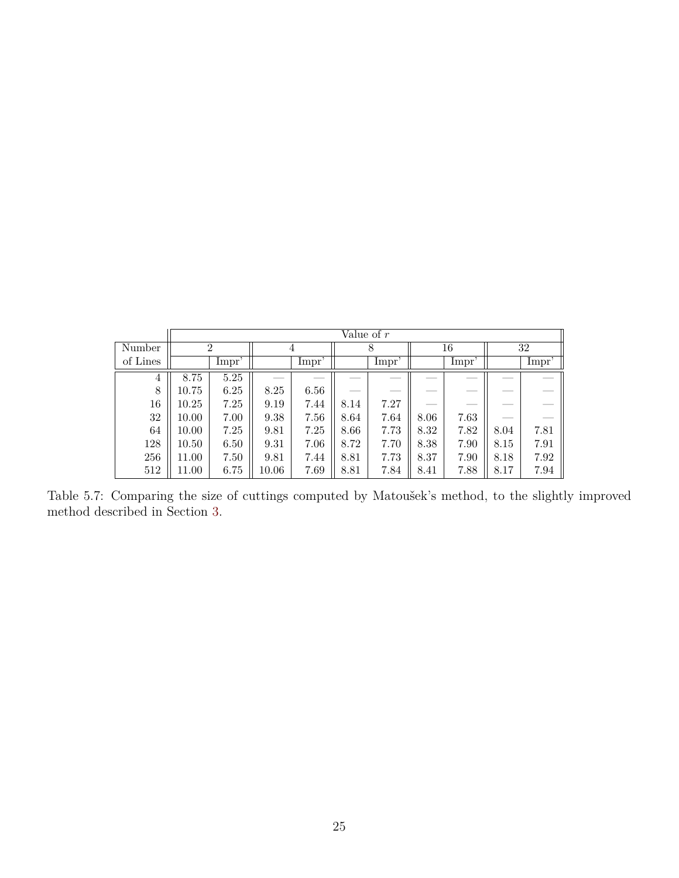|          |           | Value of $r$   |       |       |       |      |      |       |      |       |  |  |
|----------|-----------|----------------|-------|-------|-------|------|------|-------|------|-------|--|--|
| Number   |           | $\overline{2}$ | 4     |       | 8     |      | 16   |       |      | 32    |  |  |
| of Lines |           | Impr'          |       | Impr' | Impr' |      |      | Impr' |      | Impr' |  |  |
| 4        | 8.75      | 5.25           |       |       |       |      |      |       |      |       |  |  |
| 8        | 10.75     | 6.25           | 8.25  | 6.56  | --    |      |      | __    |      |       |  |  |
| 16       | 10.25     | 7.25           | 9.19  | 7.44  | 8.14  | 7.27 |      |       |      |       |  |  |
| 32       | 10.00     | 7.00           | 9.38  | 7.56  | 8.64  | 7.64 | 8.06 | 7.63  |      |       |  |  |
| 64       | 10.00     | 7.25           | 9.81  | 7.25  | 8.66  | 7.73 | 8.32 | 7.82  | 8.04 | 7.81  |  |  |
| 128      | $10.50\,$ | 6.50           | 9.31  | 7.06  | 8.72  | 7.70 | 8.38 | 7.90  | 8.15 | 7.91  |  |  |
| 256      | 11.00     | 7.50           | 9.81  | 7.44  | 8.81  | 7.73 | 8.37 | 7.90  | 8.18 | 7.92  |  |  |
| 512      | 11.00     | 6.75           | 10.06 | 7.69  | 8.81  | 7.84 | 8.41 | 7.88  | 8.17 | 7.94  |  |  |

<span id="page-24-0"></span>Table 5.7: Comparing the size of cuttings computed by Matoušek's method, to the slightly improved method described in Section [3.](#page-12-0)